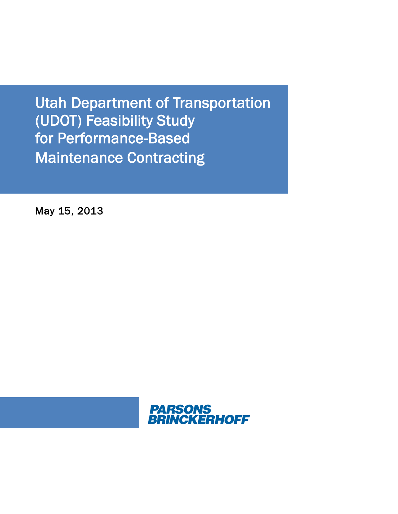Utah Department of Transportation for Performance-Based Maintenance Contracting (UDOT) Feasibility Study

May 15, 2013

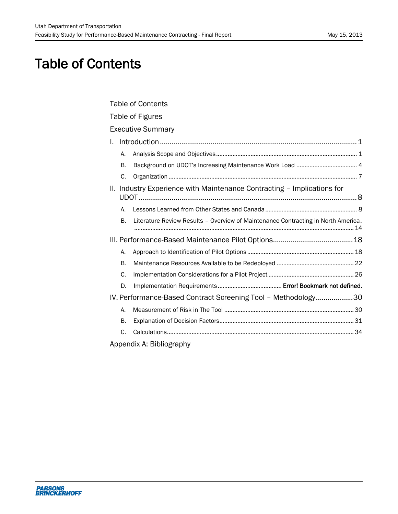# Table of Contents

<span id="page-1-0"></span>

| <b>Table of Contents</b>                                                                |  |
|-----------------------------------------------------------------------------------------|--|
| Table of Figures                                                                        |  |
| <b>Executive Summary</b>                                                                |  |
| L.                                                                                      |  |
| А.                                                                                      |  |
| В.                                                                                      |  |
| C.                                                                                      |  |
| II. Industry Experience with Maintenance Contracting - Implications for                 |  |
| А.                                                                                      |  |
| Literature Review Results - Overview of Maintenance Contracting in North America.<br>В. |  |
|                                                                                         |  |
| А.                                                                                      |  |
| В.                                                                                      |  |
| C.                                                                                      |  |
| D.                                                                                      |  |
| IV. Performance-Based Contract Screening Tool - Methodology30                           |  |
| Α.                                                                                      |  |
| В.                                                                                      |  |
| C.                                                                                      |  |
| Annandiv A. Rihliography                                                                |  |

[Appendix A: Bibliography](#page-46-0)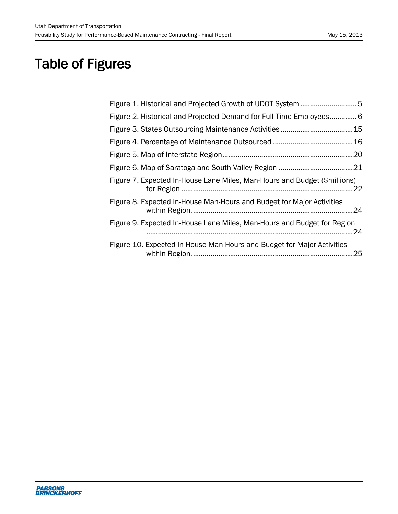# Table of Figures

<span id="page-2-0"></span>

| Figure 2. Historical and Projected Demand for Full-Time Employees6        |     |
|---------------------------------------------------------------------------|-----|
|                                                                           | .15 |
|                                                                           |     |
|                                                                           | .20 |
|                                                                           | .21 |
| Figure 7. Expected In-House Lane Miles, Man-Hours and Budget (\$millions) | 22  |
| Figure 8. Expected In-House Man-Hours and Budget for Major Activities     | 24  |
| Figure 9. Expected In-House Lane Miles, Man-Hours and Budget for Region   | 24  |
| Figure 10. Expected In-House Man-Hours and Budget for Major Activities    | .25 |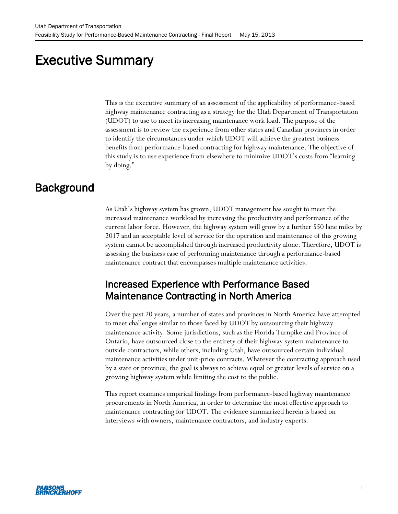# Executive Summary

<span id="page-3-0"></span>This is the executive summary of an assessment of the applicability of performance-based highway maintenance contracting as a strategy for the Utah Department of Transportation (UDOT) to use to meet its increasing maintenance work load. The purpose of the assessment is to review the experience from other states and Canadian provinces in order to identify the circumstances under which UDOT will achieve the greatest business benefits from performance-based contracting for highway maintenance. The objective of this study is to use experience from elsewhere to minimize UDOT's costs from "learning by doing."

## **Background**

As Utah's highway system has grown, UDOT management has sought to meet the increased maintenance workload by increasing the productivity and performance of the current labor force. However, the highway system will grow by a further 550 lane miles by 2017 and an acceptable level of service for the operation and maintenance of this growing system cannot be accomplished through increased productivity alone. Therefore, UDOT is assessing the business case of performing maintenance through a performance-based maintenance contract that encompasses multiple maintenance activities.

### Increased Experience with Performance Based Maintenance Contracting in North America

Over the past 20 years, a number of states and provinces in North America have attempted to meet challenges similar to those faced by UDOT by outsourcing their highway maintenance activity. Some jurisdictions, such as the Florida Turnpike and Province of Ontario, have outsourced close to the entirety of their highway system maintenance to outside contractors, while others, including Utah, have outsourced certain individual maintenance activities under unit-price contracts. Whatever the contracting approach used by a state or province, the goal is always to achieve equal or greater levels of service on a growing highway system while limiting the cost to the public.

This report examines empirical findings from performance-based highway maintenance procurements in North America, in order to determine the most effective approach to maintenance contracting for UDOT. The evidence summarized herein is based on interviews with owners, maintenance contractors, and industry experts.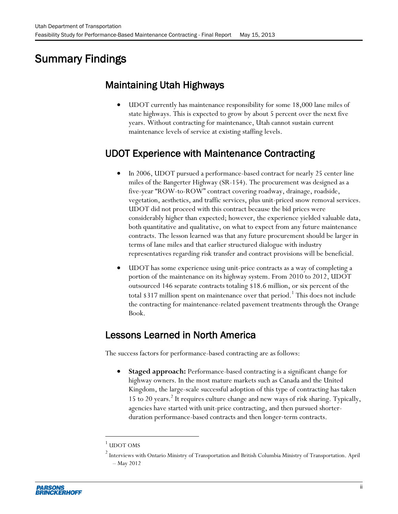# Summary Findings

# Maintaining Utah Highways

 UDOT currently has maintenance responsibility for some 18,000 lane miles of state highways. This is expected to grow by about 5 percent over the next five years. Without contracting for maintenance, Utah cannot sustain current maintenance levels of service at existing staffing levels.

# UDOT Experience with Maintenance Contracting

- In 2006, UDOT pursued a performance-based contract for nearly 25 center line miles of the Bangerter Highway (SR-154). The procurement was designed as a five-year "ROW-to-ROW" contract covering roadway, drainage, roadside, vegetation, aesthetics, and traffic services, plus unit-priced snow removal services. UDOT did not proceed with this contract because the bid prices were considerably higher than expected; however, the experience yielded valuable data, both quantitative and qualitative, on what to expect from any future maintenance contracts. The lesson learned was that any future procurement should be larger in terms of lane miles and that earlier structured dialogue with industry representatives regarding risk transfer and contract provisions will be beneficial.
- UDOT has some experience using unit-price contracts as a way of completing a portion of the maintenance on its highway system. From 2010 to 2012, UDOT outsourced 146 separate contracts totaling \$18.6 million, or six percent of the total \$317 million spent on maintenance over that period.<sup>1</sup> This does not include the contracting for maintenance-related pavement treatments through the Orange Book.

## Lessons Learned in North America

The success factors for performance-based contracting are as follows:

 **Staged approach:** Performance-based contracting is a significant change for highway owners. In the most mature markets such as Canada and the United Kingdom, the large-scale successful adoption of this type of contracting has taken 15 to 20 years. 2 It requires culture change and new ways of risk sharing. Typically, agencies have started with unit-price contracting, and then pursued shorterduration performance-based contracts and then longer-term contracts.

l

 $1$  UDOT OMS

<sup>2</sup> Interviews with Ontario Ministry of Transportation and British Columbia Ministry of Transportation. April – May 2012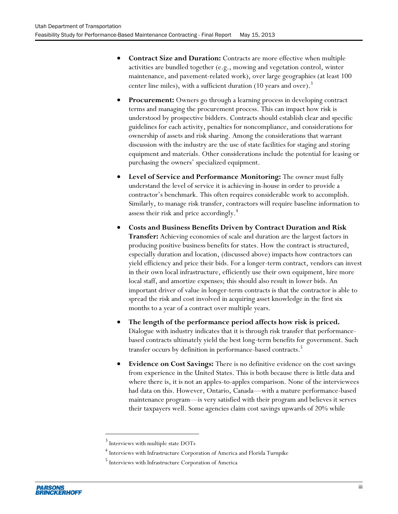- **Contract Size and Duration:** Contracts are more effective when multiple activities are bundled together (e.g., mowing and vegetation control, winter maintenance, and pavement-related work), over large geographies (at least 100 center line miles), with a sufficient duration (10 years and over).<sup>3</sup>
- **Procurement:** Owners go through a learning process in developing contract terms and managing the procurement process. This can impact how risk is understood by prospective bidders. Contracts should establish clear and specific guidelines for each activity, penalties for noncompliance, and considerations for ownership of assets and risk sharing. Among the considerations that warrant discussion with the industry are the use of state facilities for staging and storing equipment and materials. Other considerations include the potential for leasing or purchasing the owners' specialized equipment.
- **Level of Service and Performance Monitoring:** The owner must fully understand the level of service it is achieving in-house in order to provide a contractor's benchmark. This often requires considerable work to accomplish. Similarly, to manage risk transfer, contractors will require baseline information to assess their risk and price accordingly.<sup>4</sup>
- **Costs and Business Benefits Driven by Contract Duration and Risk Transfer:** Achieving economies of scale and duration are the largest factors in producing positive business benefits for states. How the contract is structured, especially duration and location, (discussed above) impacts how contractors can yield efficiency and price their bids. For a longer-term contract, vendors can invest in their own local infrastructure, efficiently use their own equipment, hire more local staff, and amortize expenses; this should also result in lower bids. An important driver of value in longer-term contracts is that the contractor is able to spread the risk and cost involved in acquiring asset knowledge in the first six months to a year of a contract over multiple years.
- **The length of the performance period affects how risk is priced.** Dialogue with industry indicates that it is through risk transfer that performancebased contracts ultimately yield the best long-term benefits for government. Such transfer occurs by definition in performance-based contracts. 5
- **Evidence on Cost Savings:** There is no definitive evidence on the cost savings from experience in the United States. This is both because there is little data and where there is, it is not an apples-to-apples comparison. None of the interviewees had data on this. However, Ontario, Canada—with a mature performance-based maintenance program—is very satisfied with their program and believes it serves their taxpayers well. Some agencies claim cost savings upwards of 20% while

 $\overline{a}$ 

<sup>&</sup>lt;sup>3</sup> Interviews with multiple state DOTs

<sup>4</sup> Interviews with Infrastructure Corporation of America and Florida Turnpike

<sup>5</sup> Interviews with Infrastructure Corporation of America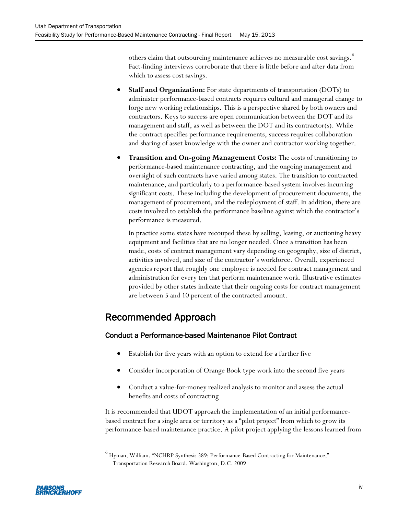others claim that outsourcing maintenance achieves no measurable cost savings.  $\overset{6}{ }$ Fact-finding interviews corroborate that there is little before and after data from which to assess cost savings.

- **Staff and Organization:** For state departments of transportation (DOTs) to administer performance-based contracts requires cultural and managerial change to forge new working relationships. This is a perspective shared by both owners and contractors. Keys to success are open communication between the DOT and its management and staff, as well as between the DOT and its contractor(s). While the contract specifies performance requirements, success requires collaboration and sharing of asset knowledge with the owner and contractor working together.
- **Transition and On-going Management Costs:** The costs of transitioning to performance-based maintenance contracting, and the ongoing management and oversight of such contracts have varied among states. The transition to contracted maintenance, and particularly to a performance-based system involves incurring significant costs. These including the development of procurement documents, the management of procurement, and the redeployment of staff. In addition, there are costs involved to establish the performance baseline against which the contractor's performance is measured.

In practice some states have recouped these by selling, leasing, or auctioning heavy equipment and facilities that are no longer needed. Once a transition has been made, costs of contract management vary depending on geography, size of district, activities involved, and size of the contractor's workforce. Overall, experienced agencies report that roughly one employee is needed for contract management and administration for every ten that perform maintenance work. Illustrative estimates provided by other states indicate that their ongoing costs for contract management are between 5 and 10 percent of the contracted amount.

## Recommended Approach

### Conduct a Performance-based Maintenance Pilot Contract

- Establish for five years with an option to extend for a further five
- Consider incorporation of Orange Book type work into the second five years
- Conduct a value-for-money realized analysis to monitor and assess the actual benefits and costs of contracting

It is recommended that UDOT approach the implementation of an initial performancebased contract for a single area or territory as a "pilot project" from which to grow its performance-based maintenance practice. A pilot project applying the lessons learned from

 $\overline{a}$ 

 $^6$  Hyman, William. "NCHRP Synthesis 389: Performance-Based Contracting for Maintenance," Transportation Research Board. Washington, D.C. 2009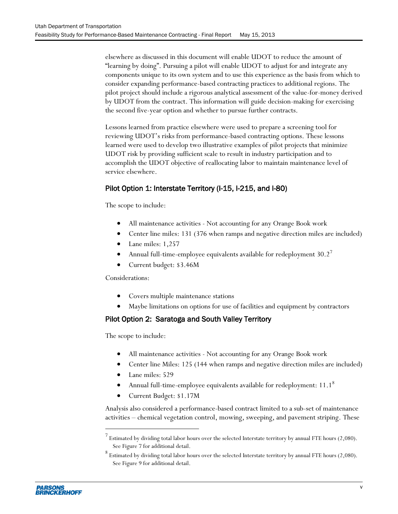elsewhere as discussed in this document will enable UDOT to reduce the amount of "learning by doing". Pursuing a pilot will enable UDOT to adjust for and integrate any components unique to its own system and to use this experience as the basis from which to consider expanding performance-based contracting practices to additional regions. The pilot project should include a rigorous analytical assessment of the value-for-money derived by UDOT from the contract. This information will guide decision-making for exercising the second five-year option and whether to pursue further contracts.

Lessons learned from practice elsewhere were used to prepare a screening tool for reviewing UDOT's risks from performance-based contracting options. These lessons learned were used to develop two illustrative examples of pilot projects that minimize UDOT risk by providing sufficient scale to result in industry participation and to accomplish the UDOT objective of reallocating labor to maintain maintenance level of service elsewhere.

### Pilot Option 1: Interstate Territory (I-15, I-215, and I-80)

The scope to include:

- All maintenance activities Not accounting for any Orange Book work
- Center line miles: 131 (376 when ramps and negative direction miles are included)
- Lane miles: 1,257
- Annual full-time-employee equivalents available for redeployment 30.2<sup>7</sup>
- Current budget: \$3.46M

Considerations:

- Covers multiple maintenance stations
- Maybe limitations on options for use of facilities and equipment by contractors

#### Pilot Option 2: Saratoga and South Valley Territory

The scope to include:

 $\overline{a}$ 

- All maintenance activities Not accounting for any Orange Book work
- Center line Miles: 125 (144 when ramps and negative direction miles are included)
- Lane miles: 529
- Annual full-time-employee equivalents available for redeployment:  $11.1^8$
- Current Budget: \$1.17M

Analysis also considered a performance-based contract limited to a sub-set of maintenance activities – chemical vegetation control, mowing, sweeping, and pavement striping. These

<sup>7</sup> Estimated by dividing total labor hours over the selected Interstate territory by annual FTE hours (2,080). See Figure 7 for additional detail.

 $^8$  Estimated by dividing total labor hours over the selected Interstate territory by annual FTE hours (2,080). See Figure 9 for additional detail.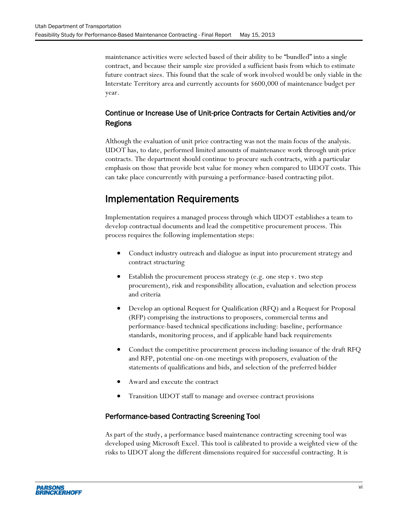maintenance activities were selected based of their ability to be "bundled" into a single contract, and because their sample size provided a sufficient basis from which to estimate future contract sizes. This found that the scale of work involved would be only viable in the Interstate Territory area and currently accounts for \$600,000 of maintenance budget per year.

### Continue or Increase Use of Unit-price Contracts for Certain Activities and/or Regions

Although the evaluation of unit price contracting was not the main focus of the analysis. UDOT has, to date, performed limited amounts of maintenance work through unit-price contracts. The department should continue to procure such contracts, with a particular emphasis on those that provide best value for money when compared to UDOT costs. This can take place concurrently with pursuing a performance-based contracting pilot.

### Implementation Requirements

Implementation requires a managed process through which UDOT establishes a team to develop contractual documents and lead the competitive procurement process. This process requires the following implementation steps:

- Conduct industry outreach and dialogue as input into procurement strategy and contract structuring
- Establish the procurement process strategy (e.g. one step v. two step procurement), risk and responsibility allocation, evaluation and selection process and criteria
- Develop an optional Request for Qualification (RFQ) and a Request for Proposal (RFP) comprising the instructions to proposers, commercial terms and performance-based technical specifications including: baseline, performance standards, monitoring process, and if applicable hand back requirements
- Conduct the competitive procurement process including issuance of the draft RFQ and RFP, potential one-on-one meetings with proposers, evaluation of the statements of qualifications and bids, and selection of the preferred bidder
- Award and execute the contract
- Transition UDOT staff to manage and oversee contract provisions

#### Performance-based Contracting Screening Tool

As part of the study, a performance based maintenance contracting screening tool was developed using Microsoft Excel. This tool is calibrated to provide a weighted view of the risks to UDOT along the different dimensions required for successful contracting. It is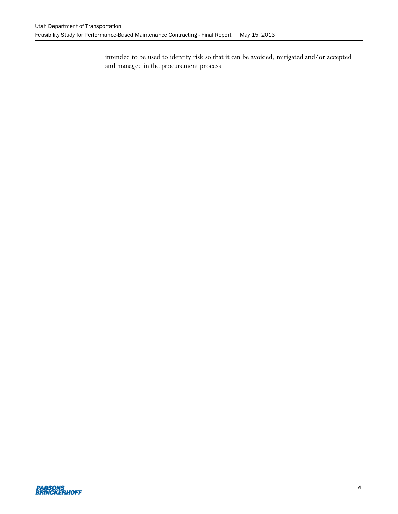intended to be used to identify risk so that it can be avoided, mitigated and/or accepted and managed in the procurement process.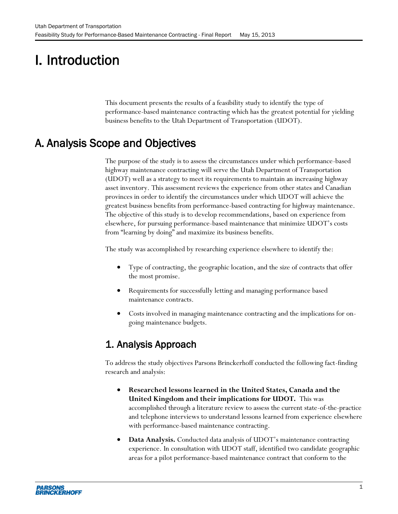# <span id="page-10-0"></span>I. Introduction

This document presents the results of a feasibility study to identify the type of performance-based maintenance contracting which has the greatest potential for yielding business benefits to the Utah Department of Transportation (UDOT).

# <span id="page-10-1"></span>A. Analysis Scope and Objectives

The purpose of the study is to assess the circumstances under which performance-based highway maintenance contracting will serve the Utah Department of Transportation (UDOT) well as a strategy to meet its requirements to maintain an increasing highway asset inventory. This assessment reviews the experience from other states and Canadian provinces in order to identify the circumstances under which UDOT will achieve the greatest business benefits from performance-based contracting for highway maintenance. The objective of this study is to develop recommendations, based on experience from elsewhere, for pursuing performance-based maintenance that minimize UDOT's costs from "learning by doing" and maximize its business benefits.

The study was accomplished by researching experience elsewhere to identify the:

- Type of contracting, the geographic location, and the size of contracts that offer the most promise.
- Requirements for successfully letting and managing performance based maintenance contracts.
- Costs involved in managing maintenance contracting and the implications for ongoing maintenance budgets.

## 1. Analysis Approach

To address the study objectives Parsons Brinckerhoff conducted the following fact-finding research and analysis:

- **Researched lessons learned in the United States, Canada and the United Kingdom and their implications for UDOT.** This was accomplished through a literature review to assess the current state-of-the-practice and telephone interviews to understand lessons learned from experience elsewhere with performance-based maintenance contracting.
- **Data Analysis.** Conducted data analysis of UDOT's maintenance contracting experience. In consultation with UDOT staff, identified two candidate geographic areas for a pilot performance-based maintenance contract that conform to the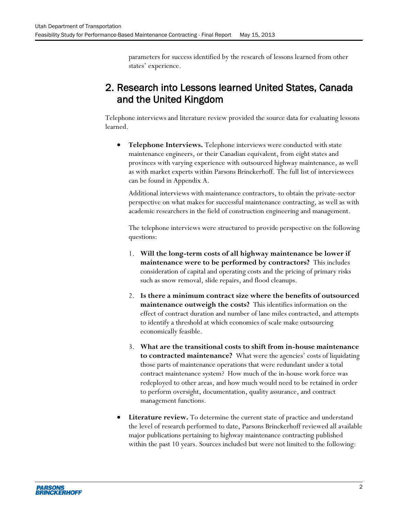parameters for success identified by the research of lessons learned from other states' experience.

## 2. Research into Lessons learned United States, Canada and the United Kingdom

Telephone interviews and literature review provided the source data for evaluating lessons learned.

 **Telephone Interviews.** Telephone interviews were conducted with state maintenance engineers, or their Canadian equivalent, from eight states and provinces with varying experience with outsourced highway maintenance, as well as with market experts within Parsons Brinckerhoff. The full list of interviewees can be found in Appendix A.

Additional interviews with maintenance contractors, to obtain the private-sector perspective on what makes for successful maintenance contracting, as well as with academic researchers in the field of construction engineering and management.

The telephone interviews were structured to provide perspective on the following questions:

- 1. **Will the long-term costs of all highway maintenance be lower if maintenance were to be performed by contractors?** This includes consideration of capital and operating costs and the pricing of primary risks such as snow removal, slide repairs, and flood cleanups.
- 2. **Is there a minimum contract size where the benefits of outsourced maintenance outweigh the costs?** This identifies information on the effect of contract duration and number of lane miles contracted, and attempts to identify a threshold at which economies of scale make outsourcing economically feasible.
- 3. **What are the transitional costs to shift from in-house maintenance to contracted maintenance?** What were the agencies' costs of liquidating those parts of maintenance operations that were redundant under a total contract maintenance system? How much of the in-house work force was redeployed to other areas, and how much would need to be retained in order to perform oversight, documentation, quality assurance, and contract management functions.
- **Literature review.** To determine the current state of practice and understand the level of research performed to date, Parsons Brinckerhoff reviewed all available major publications pertaining to highway maintenance contracting published within the past 10 years. Sources included but were not limited to the following: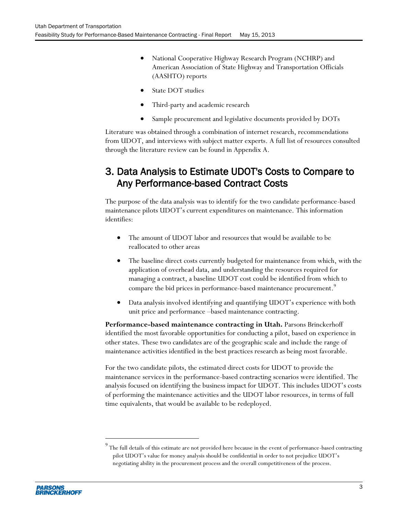- National Cooperative Highway Research Program (NCHRP) and American Association of State Highway and Transportation Officials (AASHTO) reports
- State DOT studies
- Third-party and academic research
- Sample procurement and legislative documents provided by DOTs

Literature was obtained through a combination of internet research, recommendations from UDOT, and interviews with subject matter experts. A full list of resources consulted through the literature review can be found in Appendix A.

### 3. Data Analysis to Estimate UDOT's Costs to Compare to Any Performance-based Contract Costs

The purpose of the data analysis was to identify for the two candidate performance-based maintenance pilots UDOT's current expenditures on maintenance. This information identifies:

- The amount of UDOT labor and resources that would be available to be reallocated to other areas
- The baseline direct costs currently budgeted for maintenance from which, with the application of overhead data, and understanding the resources required for managing a contract, a baseline UDOT cost could be identified from which to compare the bid prices in performance-based maintenance procurement.<sup>9</sup>
- Data analysis involved identifying and quantifying UDOT's experience with both unit price and performance –based maintenance contracting.

**Performance-based maintenance contracting in Utah.** Parsons Brinckerhoff identified the most favorable opportunities for conducting a pilot, based on experience in other states. These two candidates are of the geographic scale and include the range of maintenance activities identified in the best practices research as being most favorable.

For the two candidate pilots, the estimated direct costs for UDOT to provide the maintenance services in the performance-based contracting scenarios were identified. The analysis focused on identifying the business impact for UDOT. This includes UDOT's costs of performing the maintenance activities and the UDOT labor resources, in terms of full time equivalents, that would be available to be redeployed.



l

<sup>9</sup> The full details of this estimate are not provided here because in the event of performance-based contracting pilot UDOT's value for money analysis should be confidential in order to not prejudice UDOT's negotiating ability in the procurement process and the overall competitiveness of the process.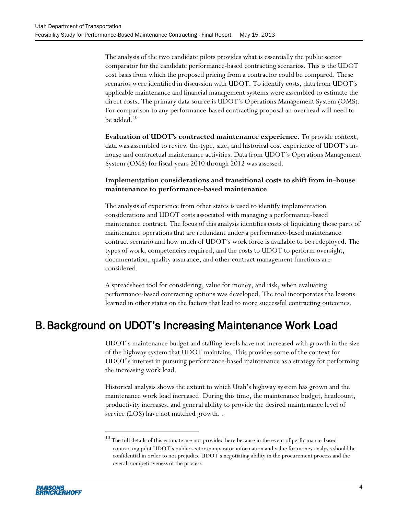The analysis of the two candidate pilots provides what is essentially the public sector comparator for the candidate performance-based contracting scenarios. This is the UDOT cost basis from which the proposed pricing from a contractor could be compared. These scenarios were identified in discussion with UDOT. To identify costs, data from UDOT's applicable maintenance and financial management systems were assembled to estimate the direct costs. The primary data source is UDOT's Operations Management System (OMS). For comparison to any performance-based contracting proposal an overhead will need to be added. 10

**Evaluation of UDOT's contracted maintenance experience.** To provide context, data was assembled to review the type, size, and historical cost experience of UDOT's inhouse and contractual maintenance activities. Data from UDOT's Operations Management System (OMS) for fiscal years 2010 through 2012 was assessed.

#### **Implementation considerations and transitional costs to shift from in-house maintenance to performance-based maintenance**

The analysis of experience from other states is used to identify implementation considerations and UDOT costs associated with managing a performance-based maintenance contract. The focus of this analysis identifies costs of liquidating those parts of maintenance operations that are redundant under a performance-based maintenance contract scenario and how much of UDOT's work force is available to be redeployed. The types of work, competencies required, and the costs to UDOT to perform oversight, documentation, quality assurance, and other contract management functions are considered.

A spreadsheet tool for considering, value for money, and risk, when evaluating performance-based contracting options was developed. The tool incorporates the lessons learned in other states on the factors that lead to more successful contracting outcomes.

# <span id="page-13-0"></span>B.Background on UDOT's Increasing Maintenance Work Load

UDOT's maintenance budget and staffing levels have not increased with growth in the size of the highway system that UDOT maintains. This provides some of the context for UDOT's interest in pursuing performance-based maintenance as a strategy for performing the increasing work load.

Historical analysis shows the extent to which Utah's highway system has grown and the maintenance work load increased. During this time, the maintenance budget, headcount, productivity increases, and general ability to provide the desired maintenance level of service (LOS) have not matched growth. [.](#page-14-1)



 $\overline{a}$ 

The full details of this estimate are not provided here because in the event of performance-based contracting pilot UDOT's public sector comparator information and value for money analysis should be confidential in order to not prejudice UDOT's negotiating ability in the procurement process and the overall competitiveness of the process.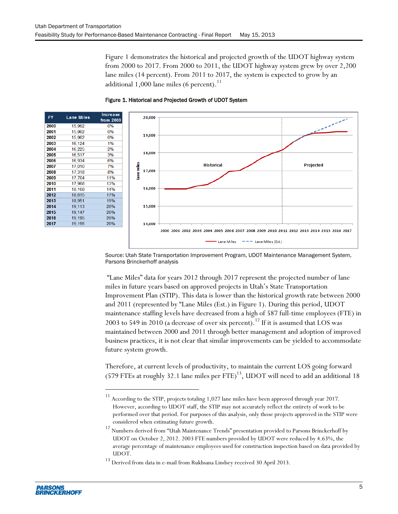[Figure 1](#page-14-1) demonstrates the historical and projected growth of the UDOT highway system from 2000 to 2017. From 2000 to 2011, the UDOT highway system grew by over 2,200 lane miles (14 percent). From 2011 to 2017, the system is expected to grow by an additional 1,000 lane miles (6 percent). $^{\rm 11}$ 



<span id="page-14-1"></span><span id="page-14-0"></span>

Source: Utah State Transportation Improvement Program, UDOT Maintenance Management System, Parsons Brinckerhoff analysis

"Lane Miles" data for years 2012 through 2017 represent the projected number of lane miles in future years based on approved projects in Utah's State Transportation Improvement Plan (STIP). This data is lower than the historical growth rate between 2000 and 2011 (represented by "Lane Miles (Est.) in Figure 1). During this period, UDOT maintenance staffing levels have decreased from a high of 587 full-time employees (FTE) in 2003 to 549 in 2010 (a decrease of over six percent).<sup>12</sup> If it is assumed that LOS was maintained between 2000 and 2011 through better management and adoption of improved business practices, it is not clear that similar improvements can be yielded to accommodate future system growth.

Therefore, at current levels of productivity, to maintain the current LOS going forward (579 FTEs at roughly 32.1 lane miles per  $FTE$ )<sup>13</sup>, UDOT will need to add an additional 18

 $\overline{a}$ 

 $^{11}$  According to the STIP, projects totaling 1,027 lane miles have been approved through year 2017. However, according to UDOT staff, the STIP may not accurately reflect the entirety of work to be performed over that period. For purposes of this analysis, only those projects approved in the STIP were considered when estimating future growth.

<sup>&</sup>lt;sup>12</sup> Numbers derived from "Utah Maintenance Trends" presentation provided to Parsons Brinckerhoff by UDOT on October 2, 2012. 2003 FTE numbers provided by UDOT were reduced by 4.63%, the average percentage of maintenance employees used for construction inspection based on data provided by UDOT.

 $^{13}$  Derived from data in e-mail from Rukhsana Lindsey received 30 April 2013.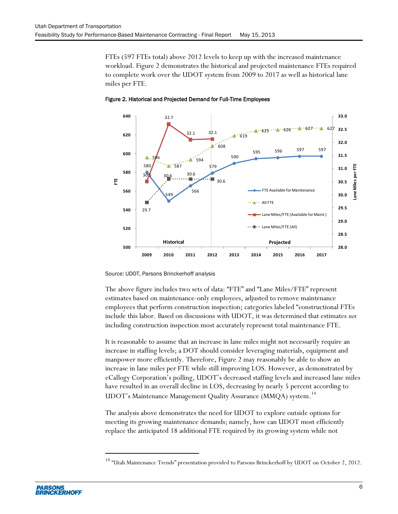FTEs (597 FTEs total) above 2012 levels to keep up with the increased maintenance workload. [Figure 2](#page-15-0) demonstrates the historical and projected maintenance FTEs required to complete work over the UDOT system from 2009 to 2017 as well as historical lane miles per FTE.



<span id="page-15-0"></span>Figure 2. Historical and Projected Demand for Full-Time Employees

Source: UDOT, Parsons Brinckerhoff analysis

The above figure includes two sets of data: "FTE" and "Lane Miles/FTE" represent estimates based on maintenance-only employees, adjusted to remove maintenance employees that perform construction inspection; categories labeled "constructional FTEs include this labor. Based on discussions with UDOT, it was determined that estimates *not* including construction inspection most accurately represent total maintenance FTE.

It is reasonable to assume that an increase in lane miles might not necessarily require an increase in staffing levels; a DOT should consider leveraging materials, equipment and manpower more efficiently. Therefore, Figure 2 may reasonably be able to show an increase in lane miles per FTE while still improving LOS. However, as demonstrated by eCallogy Corporation's polling, UDOT's decreased staffing levels and increased lane miles have resulted in an overall decline in LOS, decreasing by nearly 5 percent according to UDOT's Maintenance Management Quality Assurance (MMQA) system.<sup>14</sup>

The analysis above demonstrates the need for UDOT to explore outside options for meeting its growing maintenance demands; namely, how can UDOT most efficiently replace the anticipated 18 additional FTE required by its growing system while not

l

<sup>&</sup>lt;sup>14</sup> "Utah Maintenance Trends" presentation provided to Parsons Brinckerhoff by UDOT on October 2, 2012.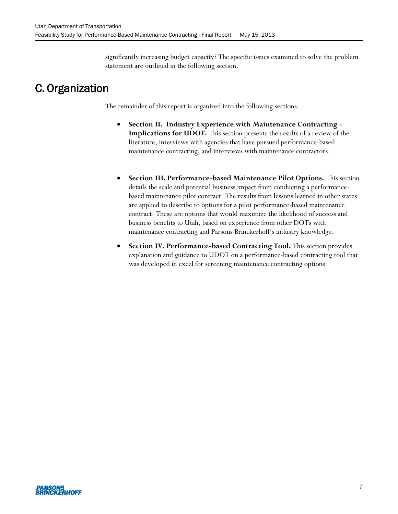significantly increasing budget capacity? The specific issues examined to solve the problem statement are outlined in the following section.

# <span id="page-16-0"></span>C. Organization

The remainder of this report is organized into the following sections:

- **Section II. Industry Experience with Maintenance Contracting - Implications for UDOT.** This section presents the results of a review of the literature, interviews with agencies that have pursued performance-based maintenance contracting, and interviews with maintenance contractors.
- **Section III. Performance-based Maintenance Pilot Options.** This section details the scale and potential business impact from conducting a performancebased maintenance pilot contract. The results from lessons learned in other states are applied to describe to options for a pilot performance-based maintenance contract. These are options that would maximize the likelihood of success and business benefits to Utah, based on experience from other DOTs with maintenance contracting and Parsons Brinckerhoff's industry knowledge.
- **Section IV. Performance-based Contracting Tool.** This section provides explanation and guidance to UDOT on a performance-based contracting tool that was developed in excel for screening maintenance contracting options.

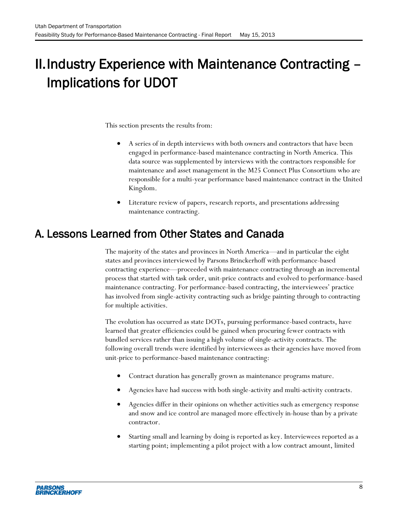# <span id="page-17-0"></span>II.Industry Experience with Maintenance Contracting – Implications for UDOT

This section presents the results from:

- A series of in depth interviews with both owners and contractors that have been engaged in performance-based maintenance contracting in North America. This data source was supplemented by interviews with the contractors responsible for maintenance and asset management in the M25 Connect Plus Consortium who are responsible for a multi-year performance based maintenance contract in the United Kingdom.
- Literature review of papers, research reports, and presentations addressing maintenance contracting.

# <span id="page-17-1"></span>A. Lessons Learned from Other States and Canada

The majority of the states and provinces in North America—and in particular the eight states and provinces interviewed by Parsons Brinckerhoff with performance-based contracting experience—proceeded with maintenance contracting through an incremental process that started with task order, unit-price contracts and evolved to performance-based maintenance contracting. For performance-based contracting, the interviewees' practice has involved from single-activity contracting such as bridge painting through to contracting for multiple activities.

The evolution has occurred as state DOTs, pursuing performance-based contracts, have learned that greater efficiencies could be gained when procuring fewer contracts with bundled services rather than issuing a high volume of single-activity contracts. The following overall trends were identified by interviewees as their agencies have moved from unit-price to performance-based maintenance contracting:

- Contract duration has generally grown as maintenance programs mature.
- Agencies have had success with both single-activity and multi-activity contracts.
- Agencies differ in their opinions on whether activities such as emergency response and snow and ice control are managed more effectively in-house than by a private contractor.
- Starting small and learning by doing is reported as key. Interviewees reported as a starting point; implementing a pilot project with a low contract amount, limited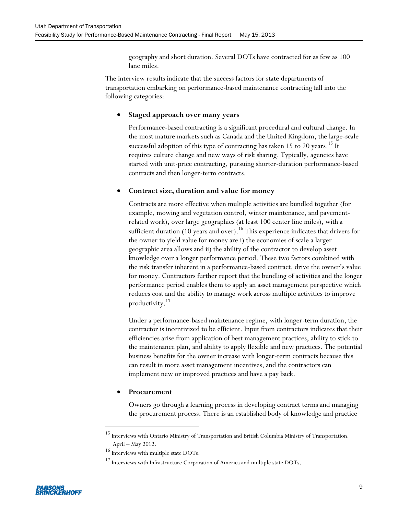geography and short duration. Several DOTs have contracted for as few as 100 lane miles.

The interview results indicate that the success factors for state departments of transportation embarking on performance-based maintenance contracting fall into the following categories:

#### **Staged approach over many years**

Performance-based contracting is a significant procedural and cultural change. In the most mature markets such as Canada and the United Kingdom, the large-scale successful adoption of this type of contracting has taken 15 to 20 years.<sup>15</sup> It requires culture change and new ways of risk sharing. Typically, agencies have started with unit-price contracting, pursuing shorter-duration performance-based contracts and then longer-term contracts.

#### **Contract size, duration and value for money**

Contracts are more effective when multiple activities are bundled together (for example, mowing and vegetation control, winter maintenance, and pavementrelated work), over large geographies (at least 100 center line miles), with a sufficient duration (10 years and over).<sup>16</sup> This experience indicates that drivers for the owner to yield value for money are i) the economies of scale a larger geographic area allows and ii) the ability of the contractor to develop asset knowledge over a longer performance period. These two factors combined with the risk transfer inherent in a performance-based contract, drive the owner's value for money. Contractors further report that the bundling of activities and the longer performance period enables them to apply an asset management perspective which reduces cost and the ability to manage work across multiple activities to improve productivity. 17

Under a performance-based maintenance regime, with longer-term duration, the contractor is incentivized to be efficient. Input from contractors indicates that their efficiencies arise from application of best management practices, ability to stick to the maintenance plan, and ability to apply flexible and new practices. The potential business benefits for the owner increase with longer-term contracts because this can result in more asset management incentives, and the contractors can implement new or improved practices and have a pay back.

#### **Procurement**

 $\overline{a}$ 

Owners go through a learning process in developing contract terms and managing the procurement process. There is an established body of knowledge and practice

<sup>&</sup>lt;sup>15</sup> Interviews with Ontario Ministry of Transportation and British Columbia Ministry of Transportation. April – May 2012.

 $^{16}$  Interviews with multiple state DOTs.

<sup>&</sup>lt;sup>17</sup> Interviews with Infrastructure Corporation of America and multiple state DOTs.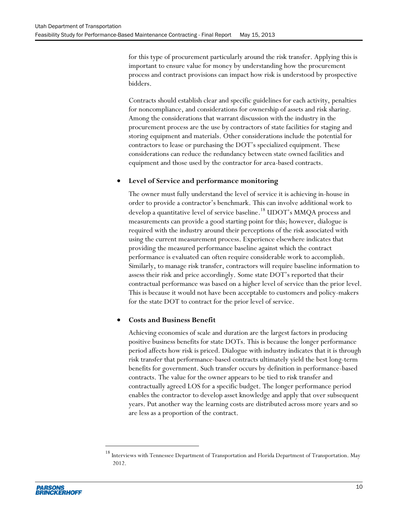for this type of procurement particularly around the risk transfer. Applying this is important to ensure value for money by understanding how the procurement process and contract provisions can impact how risk is understood by prospective bidders.

Contracts should establish clear and specific guidelines for each activity, penalties for noncompliance, and considerations for ownership of assets and risk sharing. Among the considerations that warrant discussion with the industry in the procurement process are the use by contractors of state facilities for staging and storing equipment and materials. Other considerations include the potential for contractors to lease or purchasing the DOT's specialized equipment. These considerations can reduce the redundancy between state owned facilities and equipment and those used by the contractor for area-based contracts.

#### **Level of Service and performance monitoring**

The owner must fully understand the level of service it is achieving in-house in order to provide a contractor's benchmark. This can involve additional work to develop a quantitative level of service baseline. <sup>18</sup> UDOT's MMQA process and measurements can provide a good starting point for this; however, dialogue is required with the industry around their perceptions of the risk associated with using the current measurement process. Experience elsewhere indicates that providing the measured performance baseline against which the contract performance is evaluated can often require considerable work to accomplish. Similarly, to manage risk transfer, contractors will require baseline information to assess their risk and price accordingly. Some state DOT's reported that their contractual performance was based on a higher level of service than the prior level. This is because it would not have been acceptable to customers and policy-makers for the state DOT to contract for the prior level of service.

#### **Costs and Business Benefit**

Achieving economies of scale and duration are the largest factors in producing positive business benefits for state DOTs. This is because the longer performance period affects how risk is priced. Dialogue with industry indicates that it is through risk transfer that performance-based contracts ultimately yield the best long-term benefits for government. Such transfer occurs by definition in performance-based contracts. The value for the owner appears to be tied to risk transfer and contractually agreed LOS for a specific budget. The longer performance period enables the contractor to develop asset knowledge and apply that over subsequent years. Put another way the learning costs are distributed across more years and so are less as a proportion of the contract.



 $\overline{a}$ 

 $^{18}$  Interviews with Tennessee Department of Transportation and Florida Department of Transportation. May 2012.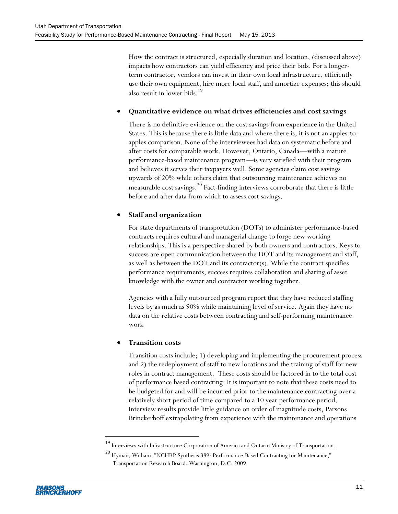How the contract is structured, especially duration and location, (discussed above) impacts how contractors can yield efficiency and price their bids. For a longerterm contractor, vendors can invest in their own local infrastructure, efficiently use their own equipment, hire more local staff, and amortize expenses; this should also result in lower bids. 19

#### **Quantitative evidence on what drives efficiencies and cost savings**

There is no definitive evidence on the cost savings from experience in the United States. This is because there is little data and where there is, it is not an apples-toapples comparison. None of the interviewees had data on systematic before and after costs for comparable work. However, Ontario, Canada—with a mature performance-based maintenance program—is very satisfied with their program and believes it serves their taxpayers well. Some agencies claim cost savings upwards of 20% while others claim that outsourcing maintenance achieves no measurable cost savings.<sup>20</sup> Fact-finding interviews corroborate that there is little before and after data from which to assess cost savings.

#### **Staff and organization**

For state departments of transportation (DOTs) to administer performance-based contracts requires cultural and managerial change to forge new working relationships. This is a perspective shared by both owners and contractors. Keys to success are open communication between the DOT and its management and staff, as well as between the DOT and its contractor(s). While the contract specifies performance requirements, success requires collaboration and sharing of asset knowledge with the owner and contractor working together.

Agencies with a fully outsourced program report that they have reduced staffing levels by as much as 90% while maintaining level of service. Again they have no data on the relative costs between contracting and self-performing maintenance work

#### **Transition costs**

Transition costs include; 1) developing and implementing the procurement process and 2) the redeployment of staff to new locations and the training of staff for new roles in contract management. These costs should be factored in to the total cost of performance based contracting. It is important to note that these costs need to be budgeted for and will be incurred prior to the maintenance contracting over a relatively short period of time compared to a 10 year performance period. Interview results provide little guidance on order of magnitude costs, Parsons Brinckerhoff extrapolating from experience with the maintenance and operations

l

 $^{19}$  Interviews with Infrastructure Corporation of America and Ontario Ministry of Transportation.

<sup>&</sup>lt;sup>20</sup> Hyman, William. "NCHRP Synthesis 389: Performance-Based Contracting for Maintenance," Transportation Research Board. Washington, D.C. 2009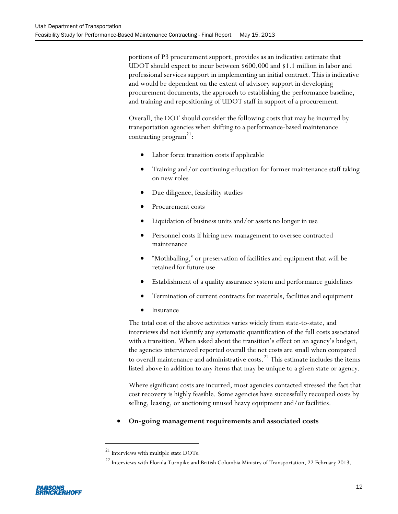portions of P3 procurement support, provides as an indicative estimate that UDOT should expect to incur between \$600,000 and \$1.1 million in labor and professional services support in implementing an initial contract. This is indicative and would be dependent on the extent of advisory support in developing procurement documents, the approach to establishing the performance baseline, and training and repositioning of UDOT staff in support of a procurement.

Overall, the DOT should consider the following costs that may be incurred by transportation agencies when shifting to a performance-based maintenance contracting program<sup>21</sup>:

- Labor force transition costs if applicable
- Training and/or continuing education for former maintenance staff taking on new roles
- Due diligence, feasibility studies
- Procurement costs
- Liquidation of business units and/or assets no longer in use
- Personnel costs if hiring new management to oversee contracted maintenance
- "Mothballing," or preservation of facilities and equipment that will be retained for future use
- Establishment of a quality assurance system and performance guidelines
- Termination of current contracts for materials, facilities and equipment
- Insurance

The total cost of the above activities varies widely from state-to-state, and interviews did not identify any systematic quantification of the full costs associated with a transition. When asked about the transition's effect on an agency's budget, the agencies interviewed reported overall the net costs are small when compared to overall maintenance and administrative costs. <sup>22</sup> This estimate includes the items listed above in addition to any items that may be unique to a given state or agency.

Where significant costs are incurred, most agencies contacted stressed the fact that cost recovery is highly feasible. Some agencies have successfully recouped costs by selling, leasing, or auctioning unused heavy equipment and/or facilities.

**On-going management requirements and associated costs**

 $\overline{a}$ 

 $^\mathrm{21}$  Interviews with multiple state DOTs.

<sup>&</sup>lt;sup>22</sup> Interviews with Florida Turnpike and British Columbia Ministry of Transportation, 22 February 2013.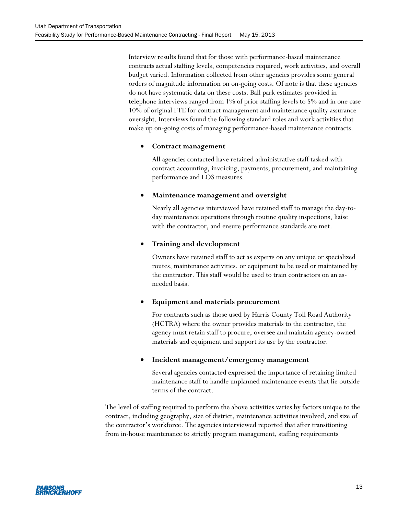Interview results found that for those with performance-based maintenance contracts actual staffing levels, competencies required, work activities, and overall budget varied. Information collected from other agencies provides some general orders of magnitude information on on-going costs. Of note is that these agencies do not have systematic data on these costs. Ball park estimates provided in telephone interviews ranged from 1% of prior staffing levels to 5% and in one case 10% of original FTE for contract management and maintenance quality assurance oversight. Interviews found the following standard roles and work activities that make up on-going costs of managing performance-based maintenance contracts.

#### **Contract management**

All agencies contacted have retained administrative staff tasked with contract accounting, invoicing, payments, procurement, and maintaining performance and LOS measures.

#### **Maintenance management and oversight**

Nearly all agencies interviewed have retained staff to manage the day-today maintenance operations through routine quality inspections, liaise with the contractor, and ensure performance standards are met.

#### **Training and development**

Owners have retained staff to act as experts on any unique or specialized routes, maintenance activities, or equipment to be used or maintained by the contractor. This staff would be used to train contractors on an asneeded basis.

#### **Equipment and materials procurement**

For contracts such as those used by Harris County Toll Road Authority (HCTRA) where the owner provides materials to the contractor, the agency must retain staff to procure, oversee and maintain agency-owned materials and equipment and support its use by the contractor.

#### **Incident management/emergency management**

Several agencies contacted expressed the importance of retaining limited maintenance staff to handle unplanned maintenance events that lie outside terms of the contract.

The level of staffing required to perform the above activities varies by factors unique to the contract, including geography, size of district, maintenance activities involved, and size of the contractor's workforce. The agencies interviewed reported that after transitioning from in-house maintenance to strictly program management, staffing requirements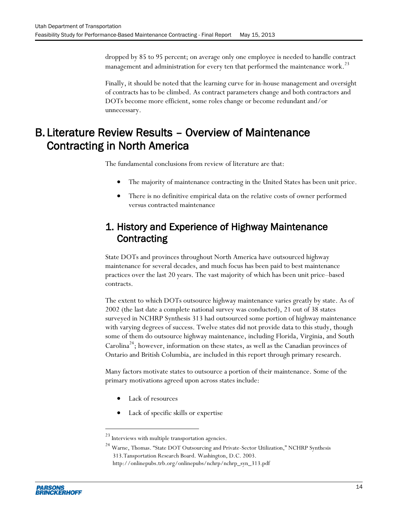dropped by 85 to 95 percent; on average only one employee is needed to handle contract management and administration for every ten that performed the maintenance work. $^{23}$ 

Finally, it should be noted that the learning curve for in-house management and oversight of contracts has to be climbed. As contract parameters change and both contractors and DOTs become more efficient, some roles change or become redundant and/or unnecessary.

# <span id="page-23-0"></span>B. Literature Review Results – Overview of Maintenance Contracting in North America

The fundamental conclusions from review of literature are that:

- The majority of maintenance contracting in the United States has been unit price.
- There is no definitive empirical data on the relative costs of owner performed versus contracted maintenance

### 1. History and Experience of Highway Maintenance **Contracting**

State DOTs and provinces throughout North America have outsourced highway maintenance for several decades, and much focus has been paid to best maintenance practices over the last 20 years. The vast majority of which has been unit price–based contracts.

The extent to which DOTs outsource highway maintenance varies greatly by state. As of 2002 (the last date a complete national survey was conducted), 21 out of 38 states surveyed in NCHRP Synthesis 313 had outsourced some portion of highway maintenance with varying degrees of success. Twelve states did not provide data to this study, though some of them do outsource highway maintenance, including Florida, Virginia, and South Carolina<sup>24</sup>; however, information on these states, as well as the Canadian provinces of Ontario and British Columbia, are included in this report through primary research.

Many factors motivate states to outsource a portion of their maintenance. Some of the primary motivations agreed upon across states include:

Lack of resources

 $\overline{a}$ 

Lack of specific skills or expertise

<sup>24</sup> Warne, Thomas. "State DOT Outsourcing and Private-Sector Utilization," NCHRP Synthesis 313.Tansportation Research Board. Washington, D.C. 2003.

 $^{\mathrm{23}}$  Interviews with multiple transportation agencies.

http://onlinepubs.trb.org/onlinepubs/nchrp/nchrp\_syn\_313.pdf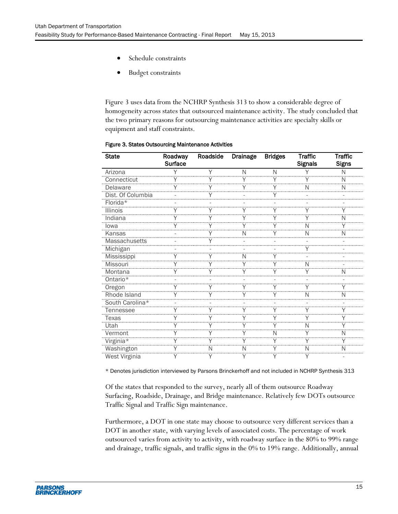- Schedule constraints
- Budget constraints

[Figure 3](#page-24-1) uses data from the NCHRP Synthesis 313 to show a considerable degree of homogeneity across states that outsourced maintenance activity. The study concluded that the two primary reasons for outsourcing maintenance activities are specialty skills or equipment and staff constraints.

| <b>State</b>         | Roadway<br><b>Surface</b> | Roadside | <b>Drainage</b> | <b>Bridges</b> | <b>Traffic</b><br><b>Signals</b> | <b>Traffic</b><br><b>Signs</b> |
|----------------------|---------------------------|----------|-----------------|----------------|----------------------------------|--------------------------------|
| Arizona              |                           | Υ        | N               | N              |                                  | N                              |
| Connecticut          |                           |          | Υ               | Υ              | Υ                                | N                              |
| Delaware             | Υ                         |          | Υ               | Υ              | N                                | Ν                              |
| Dist. Of Columbia    |                           |          |                 | Υ              |                                  |                                |
| Florida*             |                           |          |                 |                |                                  |                                |
| <b>Illinois</b>      |                           |          |                 |                |                                  |                                |
| Indiana              | Υ                         |          | Υ               | Υ              | Υ                                | N                              |
| lowa                 | Υ                         | Υ        | Υ               | Υ              | N                                | Υ                              |
| Kansas               |                           |          | N               | Υ              | N                                | N                              |
| <b>Massachusetts</b> |                           |          |                 |                |                                  |                                |
| Michigan             |                           |          |                 |                |                                  |                                |
| Mississippi          | Υ                         | Υ        | N               | Υ              |                                  |                                |
| Missouri             |                           |          | Υ               | Υ              | N                                |                                |
| Montana              |                           |          |                 |                | Υ                                | N                              |
| Ontario*             |                           |          |                 |                |                                  |                                |
| Oregon               |                           |          |                 | Y              | Υ                                |                                |
| Rhode Island         | Υ                         | Υ        | Υ               | Υ              | N                                | N                              |
| South Carolina*      |                           |          |                 |                |                                  |                                |
| Tennessee            | Υ                         |          | Υ               | Υ              | Υ                                | Υ                              |
| <b>Texas</b>         |                           |          |                 |                |                                  |                                |
| Utah                 |                           |          | Υ               |                | N                                |                                |
| Vermont              | Υ                         |          | Υ               | N              | Υ                                | N                              |
| Virginia*            | Υ                         | Υ        | Υ               | Υ              | Υ                                | Υ                              |
| Washington           |                           | N        | N               |                | N                                | N                              |
| <b>West Virginia</b> |                           |          | Υ               |                | Υ                                |                                |

#### <span id="page-24-1"></span><span id="page-24-0"></span>Figure 3. States Outsourcing Maintenance Activities

\* Denotes jurisdiction interviewed by Parsons Brinckerhoff and not included in NCHRP Synthesis 313

Of the states that responded to the survey, nearly all of them outsource Roadway Surfacing, Roadside, Drainage, and Bridge maintenance. Relatively few DOTs outsource Traffic Signal and Traffic Sign maintenance.

Furthermore, a DOT in one state may choose to outsource very different services than a DOT in another state, with varying levels of associated costs. The percentage of work outsourced varies from activity to activity, with roadway surface in the 80% to 99% range and drainage, traffic signals, and traffic signs in the 0% to 19% range. Additionally, annual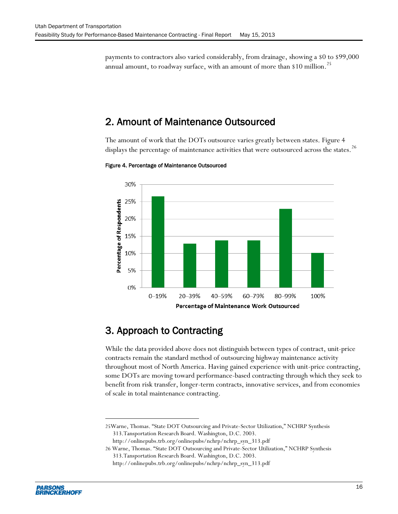payments to contractors also varied considerably, from drainage, showing a \$0 to \$99,000 annual amount, to roadway surface, with an amount of more than \$10 million. $^{25}$ 

### 2. Amount of Maintenance Outsourced

The amount of work that the DOTs outsource varies greatly between states. [Figure 4](#page-25-0) displays the percentage of maintenance activities that were outsourced across the states.<sup>26</sup>



<span id="page-25-0"></span>Figure 4. Percentage of Maintenance Outsourced

### 3. Approach to Contracting

While the data provided above does not distinguish between types of contract, unit-price contracts remain the standard method of outsourcing highway maintenance activity throughout most of North America. Having gained experience with unit-price contracting, some DOTs are moving toward performance-based contracting through which they seek to benefit from risk transfer, longer-term contracts, innovative services, and from economies of scale in total maintenance contracting.

http://onlinepubs.trb.org/onlinepubs/nchrp/nchrp\_syn\_313.pdf



 $\overline{a}$ 

<sup>25</sup>Warne, Thomas. "State DOT Outsourcing and Private-Sector Utilization," NCHRP Synthesis 313.Tansportation Research Board. Washington, D.C. 2003.

<sup>26</sup> Warne, Thomas. "State DOT Outsourcing and Private-Sector Utilization," NCHRP Synthesis 313.Tansportation Research Board. Washington, D.C. 2003. http://onlinepubs.trb.org/onlinepubs/nchrp/nchrp\_syn\_313.pdf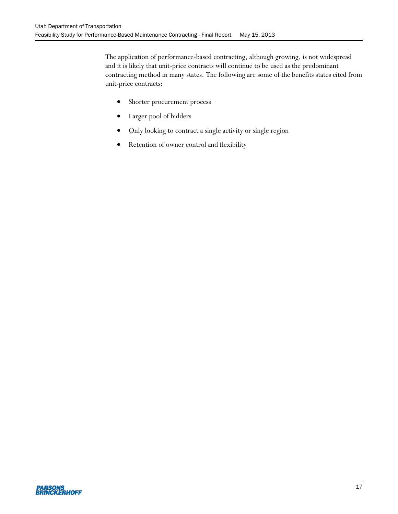The application of performance-based contracting, although growing, is not widespread and it is likely that unit-price contracts will continue to be used as the predominant contracting method in many states. The following are some of the benefits states cited from unit-price contracts:

- Shorter procurement process
- Larger pool of bidders
- Only looking to contract a single activity or single region
- Retention of owner control and flexibility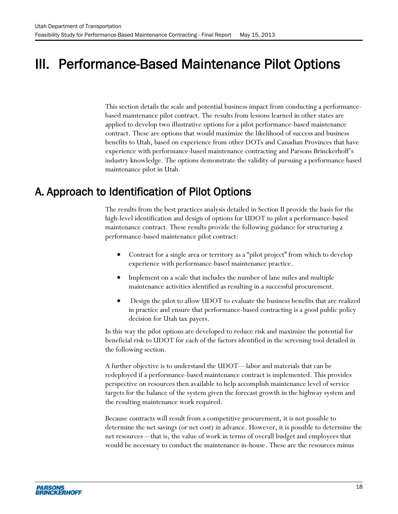# <span id="page-27-0"></span>III. Performance-Based Maintenance Pilot Options

This section details the scale and potential business impact from conducting a performancebased maintenance pilot contract. The results from lessons learned in other states are applied to develop two illustrative options for a pilot performance-based maintenance contract. These are options that would maximize the likelihood of success and business benefits to Utah, based on experience from other DOTs and Canadian Provinces that have experience with performance-based maintenance contracting and Parsons Brinckerhoff's industry knowledge. The options demonstrate the validity of pursuing a performance based maintenance pilot in Utah.

## <span id="page-27-1"></span>A. Approach to Identification of Pilot Options

The results from the best practices analysis detailed in Section II provide the basis for the high-level identification and design of options for UDOT to pilot a performance-based maintenance contract. These results provide the following guidance for structuring a performance-based maintenance pilot contract:

- Contract for a single area or territory as a "pilot project" from which to develop experience with performance-based maintenance practice.
- Implement on a scale that includes the number of lane miles and multiple maintenance activities identified as resulting in a successful procurement.
- Design the pilot to allow UDOT to evaluate the business benefits that are realized in practice and ensure that performance-based contracting is a good public policy decision for Utah tax payers.

In this way the pilot options are developed to reduce risk and maximize the potential for beneficial risk to UDOT for each of the factors identified in the screening tool detailed in the following section.

A further objective is to understand the UDOT—labor and materials that can be redeployed if a performance-based maintenance contract is implemented. This provides perspective on resources then available to help accomplish maintenance level of service targets for the balance of the system given the forecast growth in the highway system and the resulting maintenance work required.

Because contracts will result from a competitive procurement, it is not possible to determine the net savings (or net cost) in advance. However, it is possible to determine the net resources—that is, the value of work in terms of overall budget and employees that would be necessary to conduct the maintenance in-house. These are the resources minus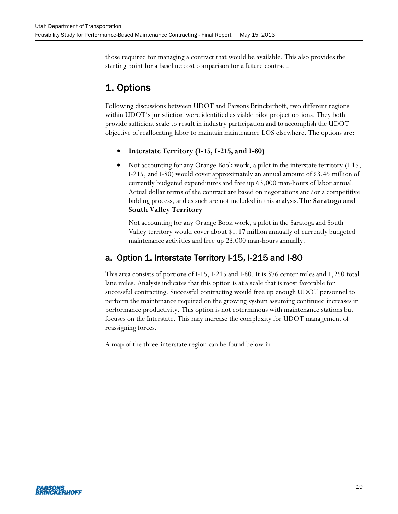those required for managing a contract that would be available. This also provides the starting point for a baseline cost comparison for a future contract.

# 1. Options

Following discussions between UDOT and Parsons Brinckerhoff, two different regions within UDOT's jurisdiction were identified as viable pilot project options. They both provide sufficient scale to result in industry participation and to accomplish the UDOT objective of reallocating labor to maintain maintenance LOS elsewhere. The options are:

- **Interstate Territory (I-15, I-215, and I-80)**
- Not accounting for any Orange Book work, a pilot in the interstate territory (I-15, I-215, and I-80) would cover approximately an annual amount of \$3.45 million of currently budgeted expenditures and free up 63,000 man-hours of labor annual. Actual dollar terms of the contract are based on negotiations and/or a competitive bidding process, and as such are not included in this analysis.**The Saratoga and South Valley Territory**

Not accounting for any Orange Book work, a pilot in the Saratoga and South Valley territory would cover about \$1.17 million annually of currently budgeted maintenance activities and free up 23,000 man-hours annually.

### a. Option 1. Interstate Territory I-15, I-215 and I-80

This area consists of portions of I-15, I-215 and I-80. It is 376 center miles and 1,250 total lane miles. Analysis indicates that this option is at a scale that is most favorable for successful contracting. Successful contracting would free up enough UDOT personnel to perform the maintenance required on the growing system assuming continued increases in performance productivity. This option is not coterminous with maintenance stations but focuses on the Interstate. This may increase the complexity for UDOT management of reassigning forces.

A map of the three-interstate region can be found below in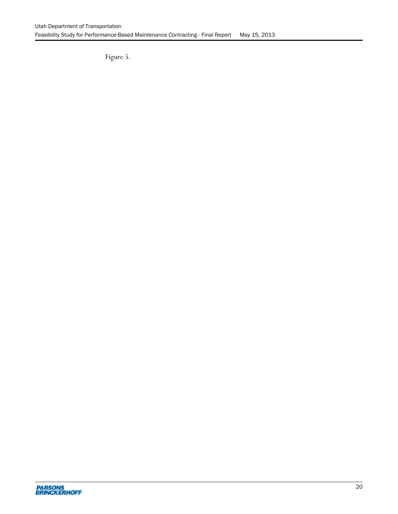<span id="page-29-0"></span>[Figure 5.](#page-29-0)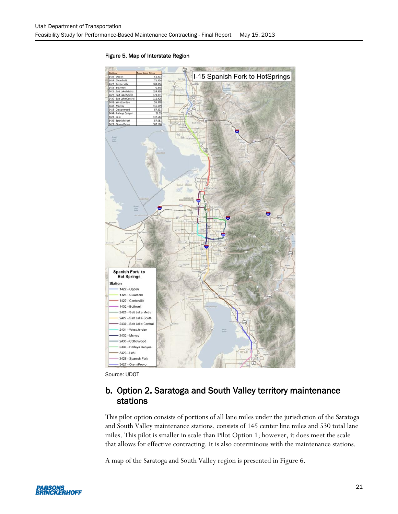

#### <span id="page-30-0"></span>Figure 5. Map of Interstate Region

Source: UDOT

### b. Option 2. Saratoga and South Valley territory maintenance stations

This pilot option consists of portions of all lane miles under the jurisdiction of the Saratoga and South Valley maintenance stations, consists of 145 center line miles and 530 total lane miles. This pilot is smaller in scale than Pilot Option 1; however, it does meet the scale that allows for effective contracting. It is also coterminous with the maintenance stations.

A map of the Saratoga and South Valley region is presented in [Figure 6.](#page-31-0)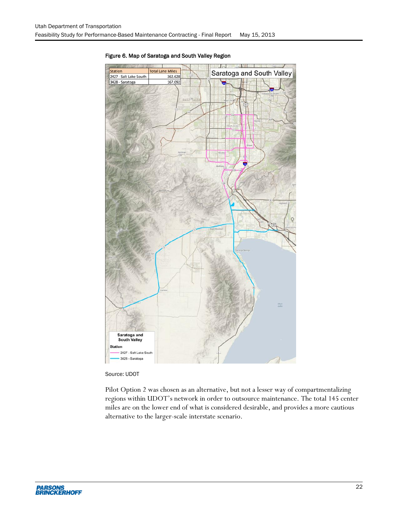

#### <span id="page-31-0"></span>Figure 6. Map of Saratoga and South Valley Region

Source: UDOT

Pilot Option 2 was chosen as an alternative, but not a lesser way of compartmentalizing regions within UDOT's network in order to outsource maintenance. The total 145 center miles are on the lower end of what is considered desirable, and provides a more cautious alternative to the larger-scale interstate scenario.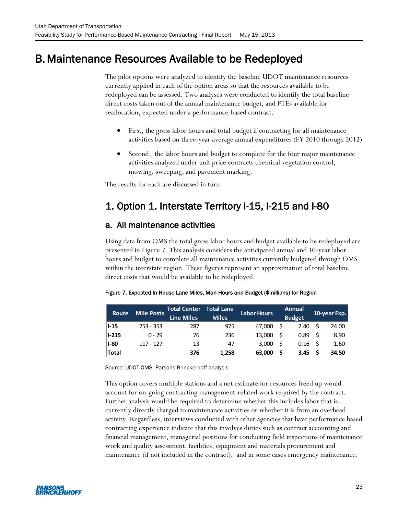# <span id="page-32-0"></span>B. Maintenance Resources Available to be Redeployed

The pilot options were analyzed to identify the baseline UDOT maintenance resources currently applied in each of the option areas so that the resources available to be redeployed can be assessed. Two analyses were conducted to identify the total baseline direct costs taken out of the annual maintenance budget, and FTEs available for reallocation, expected under a performance-based contract.

- First, the gross labor hours and total budget if contracting for all maintenance activities based on three-year average annual expenditures (FY 2010 through 2012)
- Second, the labor hours and budget to complete for the four major maintenance activities analyzed under unit price contracts chemical vegetation control, mowing, sweeping, and pavement marking.

The results for each are discussed in turn:

# 1. Option 1. Interstate Territory I-15, I-215 and I-80

### a. All maintenance activities

Using data from OMS the total gross labor hours and budget available to be redeployed are presented in [Figure 7.](#page-32-1) This analysis considers the anticipated annual and 10-year labor hours and budget to complete all maintenance activities currently budgeted through OMS within the interstate region. These figures represent an approximation of total baseline direct costs that would be available to be redeployed.

| <b>Route</b> | <b>Mile Posts</b> | Total Center<br><b>Line Miles</b> | <b>Total Lane</b><br><b>Miles</b> | <b>Labor Hours</b> | Annual<br><b>Budget</b> | 10-year Exp. |
|--------------|-------------------|-----------------------------------|-----------------------------------|--------------------|-------------------------|--------------|
| ll-15        | $253 - 353$       | 287                               | 975                               | 47.000             | 2.40                    | 24.00        |
| $ I-215 $    | $0 - 29$          | 76                                | 236                               | 13,000             | 0.89                    | 8.90         |
| $I-80$       | 117 - 127         | 13                                | 47                                | 3.000              | 0.16                    | 1.60         |
| <b>Total</b> |                   | 376                               | 1.258                             | 63,000             | 3.45                    | 34.50        |

#### <span id="page-32-1"></span>Figure 7. Expected In-House Lane Miles, Man-Hours and Budget (\$millions) for Region

Source: UDOT OMS, Parsons Brinckerhoff analysis

This option covers multiple stations and a net estimate for resources freed up would account for on-going contracting management-related work required by the contract. Further analysis would be required to determine whether this includes labor that is currently directly charged to maintenance activities or whether it is from an overhead activity. Regardless, interviews conducted with other agencies that have performance based contracting experience indicate that this involves duties such as contract accounting and financial management, managerial positions for conducting field inspections of maintenance work and quality assessment, facilities, equipment and materials procurement and maintenance (if not included in the contract), and in some cases emergency maintenance.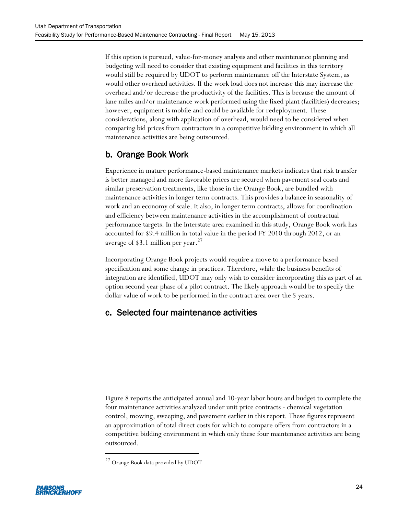If this option is pursued, value-for-money analysis and other maintenance planning and budgeting will need to consider that existing equipment and facilities in this territory would still be required by UDOT to perform maintenance off the Interstate System, as would other overhead activities. If the work load does not increase this may increase the overhead and/or decrease the productivity of the facilities. This is because the amount of lane miles and/or maintenance work performed using the fixed plant (facilities) decreases; however, equipment is mobile and could be available for redeployment. These considerations, along with application of overhead, would need to be considered when comparing bid prices from contractors in a competitive bidding environment in which all maintenance activities are being outsourced.

### b. Orange Book Work

Experience in mature performance-based maintenance markets indicates that risk transfer is better managed and more favorable prices are secured when pavement seal coats and similar preservation treatments, like those in the Orange Book, are bundled with maintenance activities in longer term contracts. This provides a balance in seasonality of work and an economy of scale. It also, in longer term contracts, allows for coordination and efficiency between maintenance activities in the accomplishment of contractual performance targets. In the Interstate area examined in this study, Orange Book work has accounted for \$9.4 million in total value in the period FY 2010 through 2012, or an average of \$3.1 million per year.<sup>27</sup>

Incorporating Orange Book projects would require a move to a performance based specification and some change in practices. Therefore, while the business benefits of integration are identified, UDOT may only wish to consider incorporating this as part of an option second year phase of a pilot contract. The likely approach would be to specify the dollar value of work to be performed in the contract area over the 5 years.

### c. Selected four maintenance activities

[Figure 8](#page-34-2) reports the anticipated annual and 10-year labor hours and budget to complete the four maintenance activities analyzed under unit price contracts - chemical vegetation control, mowing, sweeping, and pavement earlier in this report. These figures represent an approximation of total direct costs for which to compare offers from contractors in a competitive bidding environment in which only these four maintenance activities are being outsourced.

l

<sup>27</sup> Orange Book data provided by UDOT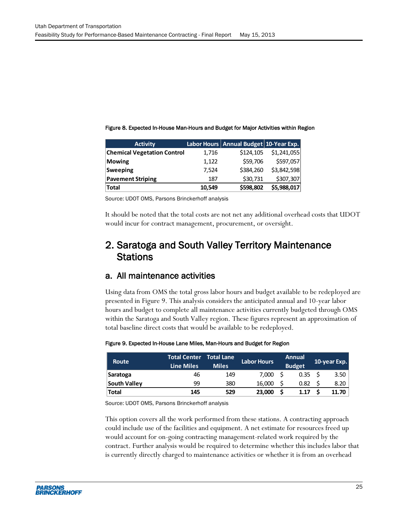| <b>Activity</b>                    |        | Labor Hours Annual Budget 10-Year Exp. |             |
|------------------------------------|--------|----------------------------------------|-------------|
| <b>Chemical Vegetation Control</b> | 1,716  | \$124,105                              | \$1,241,055 |
| <b>Mowing</b>                      | 1,122  | \$59,706                               | \$597,057   |
| <b>Sweeping</b>                    | 7,524  | \$384,260                              | \$3,842,598 |
| <b>Pavement Striping</b>           | 187    | \$30,731                               | \$307,307   |
| <b>Total</b>                       | 10,549 | \$598,802                              | \$5,988,017 |

<span id="page-34-2"></span><span id="page-34-0"></span>Figure 8. Expected In-House Man-Hours and Budget for Major Activities within Region

Source: UDOT OMS, Parsons Brinckerhoff analysis

It should be noted that the total costs are not net any additional overhead costs that UDOT would incur for contract management, procurement, or oversight.

### 2. Saratoga and South Valley Territory Maintenance **Stations**

#### a. All maintenance activities

Using data from OMS the total gross labor hours and budget available to be redeployed are presented in [Figure 9.](#page-34-1) This analysis considers the anticipated annual and 10-year labor hours and budget to complete all maintenance activities currently budgeted through OMS within the Saratoga and South Valley region. These figures represent an approximation of total baseline direct costs that would be available to be redeployed.

#### <span id="page-34-1"></span>Figure 9. Expected In-House Lane Miles, Man-Hours and Budget for Region

| <b>Route</b> | <b>Total Center Total Lane</b><br><b>Line Miles</b> | <b>Miles</b> | Labor Hours | Annual<br><b>Budget</b> | 10-year Exp. |
|--------------|-----------------------------------------------------|--------------|-------------|-------------------------|--------------|
| Saratoga     | 46                                                  | 149          | 7.000       | 0.35                    | 3.50         |
| South Valley | 99                                                  | 380          | 16,000      | 0.82                    | 8.20         |
| <b>Total</b> | 145                                                 | 529          | 23,000      | 1.17                    | 11.70        |

Source: UDOT OMS, Parsons Brinckerhoff analysis

This option covers all the work performed from these stations. A contracting approach could include use of the facilities and equipment. A net estimate for resources freed up would account for on-going contracting management-related work required by the contract. Further analysis would be required to determine whether this includes labor that is currently directly charged to maintenance activities or whether it is from an overhead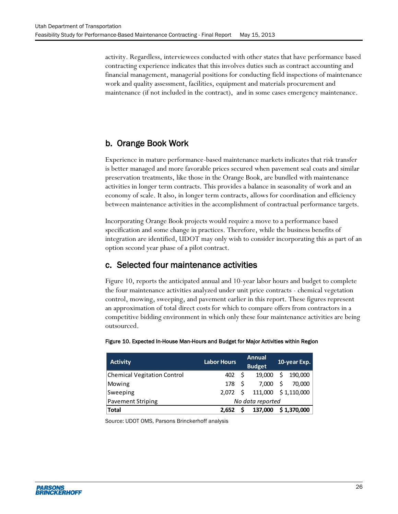activity. Regardless, interviewees conducted with other states that have performance based contracting experience indicates that this involves duties such as contract accounting and financial management, managerial positions for conducting field inspections of maintenance work and quality assessment, facilities, equipment and materials procurement and maintenance (if not included in the contract), and in some cases emergency maintenance.

### b. Orange Book Work

Experience in mature performance-based maintenance markets indicates that risk transfer is better managed and more favorable prices secured when pavement seal coats and similar preservation treatments, like those in the Orange Book, are bundled with maintenance activities in longer term contracts. This provides a balance in seasonality of work and an economy of scale. It also, in longer term contracts, allows for coordination and efficiency between maintenance activities in the accomplishment of contractual performance targets.

Incorporating Orange Book projects would require a move to a performance based specification and some change in practices. Therefore, while the business benefits of integration are identified, UDOT may only wish to consider incorporating this as part of an option second year phase of a pilot contract.

### c. Selected four maintenance activities

[Figure 10,](#page-35-0) reports the anticipated annual and 10-year labor hours and budget to complete the four maintenance activities analyzed under unit price contracts - chemical vegetation control, mowing, sweeping, and pavement earlier in this report. These figures represent an approximation of total direct costs for which to compare offers from contractors in a competitive bidding environment in which only these four maintenance activities are being outsourced.

| <b>Activity</b>                    | <b>Labor Hours</b> |  | <b>Annual</b><br><b>Budget</b> |    | 10-year Exp. |  |
|------------------------------------|--------------------|--|--------------------------------|----|--------------|--|
| <b>Chemical Vegitation Control</b> | $402 \quad 5$      |  | 19,000                         | \$ | 190,000      |  |
| Mowing                             | 178 S              |  | 7,000                          | \$ | 70,000       |  |
| Sweeping                           | $2,072 \quad $$    |  | 111,000 \$1,110,000            |    |              |  |
| <b>Pavement Striping</b>           | No data reported   |  |                                |    |              |  |
| <b>Total</b>                       | 2.652              |  | 137,000                        |    | \$1,370,000  |  |

#### <span id="page-35-0"></span>Figure 10. Expected In-House Man-Hours and Budget for Major Activities within Region

Source: UDOT OMS, Parsons Brinckerhoff analysis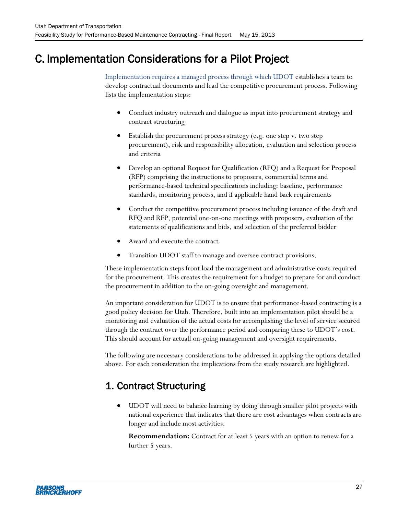# <span id="page-36-0"></span>C. Implementation Considerations for a Pilot Project

Implementation requires a managed process through which UDOT establishes a team to develop contractual documents and lead the competitive procurement process. Following lists the implementation steps:

- Conduct industry outreach and dialogue as input into procurement strategy and contract structuring
- Establish the procurement process strategy (e.g. one step v. two step procurement), risk and responsibility allocation, evaluation and selection process and criteria
- Develop an optional Request for Qualification (RFQ) and a Request for Proposal (RFP) comprising the instructions to proposers, commercial terms and performance-based technical specifications including: baseline, performance standards, monitoring process, and if applicable hand back requirements
- Conduct the competitive procurement process including issuance of the draft and RFQ and RFP, potential one-on-one meetings with proposers, evaluation of the statements of qualifications and bids, and selection of the preferred bidder
- Award and execute the contract
- Transition UDOT staff to manage and oversee contract provisions.

These implementation steps front load the management and administrative costs required for the procurement. This creates the requirement for a budget to prepare for and conduct the procurement in addition to the on-going oversight and management.

An important consideration for UDOT is to ensure that performance-based contracting is a good policy decision for Utah. Therefore, built into an implementation pilot should be a monitoring and evaluation of the actual costs for accomplishing the level of service secured through the contract over the performance period and comparing these to UDOT's cost. This should account for actuall on-going management and oversight requirements.

The following are necessary considerations to be addressed in applying the options detailed above. For each consideration the implications from the study research are highlighted.

# 1. Contract Structuring

 UDOT will need to balance learning by doing through smaller pilot projects with national experience that indicates that there are cost advantages when contracts are longer and include most activities.

**Recommendation:** Contract for at least 5 years with an option to renew for a further 5 years.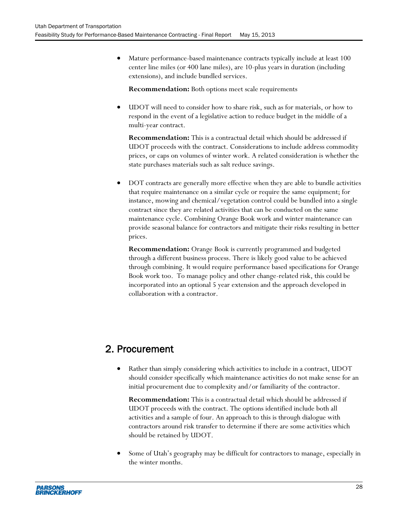Mature performance-based maintenance contracts typically include at least 100 center line miles (or 400 lane miles), are 10-plus years in duration (including extensions), and include bundled services.

**Recommendation:** Both options meet scale requirements

 UDOT will need to consider how to share risk, such as for materials, or how to respond in the event of a legislative action to reduce budget in the middle of a multi-year contract.

**Recommendation:** This is a contractual detail which should be addressed if UDOT proceeds with the contract. Considerations to include address commodity prices, or caps on volumes of winter work. A related consideration is whether the state purchases materials such as salt reduce savings.

 DOT contracts are generally more effective when they are able to bundle activities that require maintenance on a similar cycle or require the same equipment; for instance, mowing and chemical/vegetation control could be bundled into a single contract since they are related activities that can be conducted on the same maintenance cycle. Combining Orange Book work and winter maintenance can provide seasonal balance for contractors and mitigate their risks resulting in better prices.

**Recommendation:** Orange Book is currently programmed and budgeted through a different business process. There is likely good value to be achieved through combining. It would require performance based specifications for Orange Book work too. To manage policy and other change-related risk, this could be incorporated into an optional 5 year extension and the approach developed in collaboration with a contractor.

## 2. Procurement

 Rather than simply considering which activities to include in a contract, UDOT should consider specifically which maintenance activities do not make sense for an initial procurement due to complexity and/or familiarity of the contractor.

**Recommendation:** This is a contractual detail which should be addressed if UDOT proceeds with the contract. The options identified include both all activities and a sample of four. An approach to this is through dialogue with contractors around risk transfer to determine if there are some activities which should be retained by UDOT.

 Some of Utah's geography may be difficult for contractors to manage, especially in the winter months.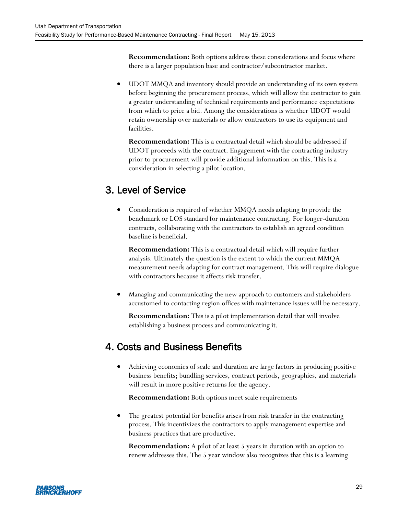**Recommendation:** Both options address these considerations and focus where there is a larger population base and contractor/subcontractor market.

 UDOT MMQA and inventory should provide an understanding of its own system before beginning the procurement process, which will allow the contractor to gain a greater understanding of technical requirements and performance expectations from which to price a bid. Among the considerations is whether UDOT would retain ownership over materials or allow contractors to use its equipment and facilities.

**Recommendation:** This is a contractual detail which should be addressed if UDOT proceeds with the contract. Engagement with the contracting industry prior to procurement will provide additional information on this. This is a consideration in selecting a pilot location.

# 3. Level of Service

 Consideration is required of whether MMQA needs adapting to provide the benchmark or LOS standard for maintenance contracting. For longer-duration contracts, collaborating with the contractors to establish an agreed condition baseline is beneficial.

**Recommendation:** This is a contractual detail which will require further analysis. Ultimately the question is the extent to which the current MMQA measurement needs adapting for contract management. This will require dialogue with contractors because it affects risk transfer.

 Managing and communicating the new approach to customers and stakeholders accustomed to contacting region offices with maintenance issues will be necessary.

**Recommendation:** This is a pilot implementation detail that will involve establishing a business process and communicating it.

## 4. Costs and Business Benefits

 Achieving economies of scale and duration are large factors in producing positive business benefits; bundling services, contract periods, geographies, and materials will result in more positive returns for the agency.

**Recommendation:** Both options meet scale requirements

 The greatest potential for benefits arises from risk transfer in the contracting process. This incentivizes the contractors to apply management expertise and business practices that are productive.

**Recommendation:** A pilot of at least 5 years in duration with an option to renew addresses this. The 5 year window also recognizes that this is a learning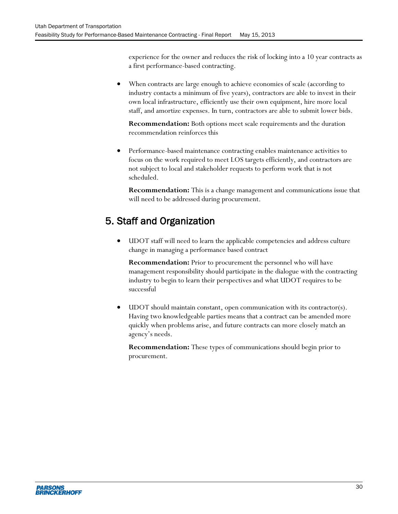experience for the owner and reduces the risk of locking into a 10 year contracts as a first performance-based contracting.

 When contracts are large enough to achieve economies of scale (according to industry contacts a minimum of five years), contractors are able to invest in their own local infrastructure, efficiently use their own equipment, hire more local staff, and amortize expenses. In turn, contractors are able to submit lower bids.

**Recommendation:** Both options meet scale requirements and the duration recommendation reinforces this

 Performance-based maintenance contracting enables maintenance activities to focus on the work required to meet LOS targets efficiently, and contractors are not subject to local and stakeholder requests to perform work that is not scheduled.

**Recommendation:** This is a change management and communications issue that will need to be addressed during procurement.

# 5. Staff and Organization

 UDOT staff will need to learn the applicable competencies and address culture change in managing a performance based contract

**Recommendation:** Prior to procurement the personnel who will have management responsibility should participate in the dialogue with the contracting industry to begin to learn their perspectives and what UDOT requires to be successful

 UDOT should maintain constant, open communication with its contractor(s). Having two knowledgeable parties means that a contract can be amended more quickly when problems arise, and future contracts can more closely match an agency's needs.

**Recommendation:** These types of communications should begin prior to procurement.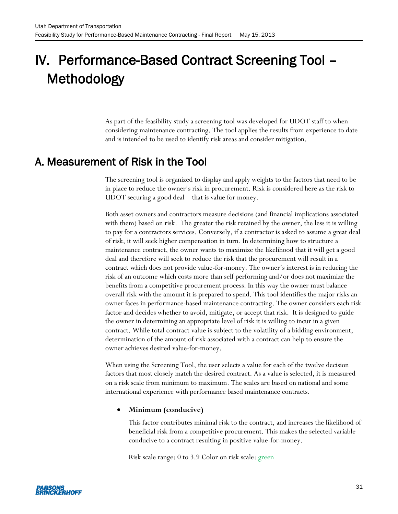# <span id="page-40-0"></span>IV. Performance-Based Contract Screening Tool – Methodology

As part of the feasibility study a screening tool was developed for UDOT staff to when considering maintenance contracting. The tool applies the results from experience to date and is intended to be used to identify risk areas and consider mitigation.

# <span id="page-40-1"></span>A. Measurement of Risk in the Tool

The screening tool is organized to display and apply weights to the factors that need to be in place to reduce the owner's risk in procurement. Risk is considered here as the risk to UDOT securing a good deal – that is value for money.

Both asset owners and contractors measure decisions (and financial implications associated with them) based on risk. The greater the risk retained by the owner, the less it is willing to pay for a contractors services. Conversely, if a contractor is asked to assume a great deal of risk, it will seek higher compensation in turn. In determining how to structure a maintenance contract, the owner wants to maximize the likelihood that it will get a good deal and therefore will seek to reduce the risk that the procurement will result in a contract which does not provide value-for-money. The owner's interest is in reducing the risk of an outcome which costs more than self performing and/or does not maximize the benefits from a competitive procurement process. In this way the owner must balance overall risk with the amount it is prepared to spend. This tool identifies the major risks an owner faces in performance-based maintenance contracting. The owner considers each risk factor and decides whether to avoid, mitigate, or accept that risk. It is designed to guide the owner in determining an appropriate level of risk it is willing to incur in a given contract. While total contract value is subject to the volatility of a bidding environment, determination of the amount of risk associated with a contract can help to ensure the owner achieves desired value-for-money.

When using the Screening Tool, the user selects a value for each of the twelve decision factors that most closely match the desired contract. As a value is selected, it is measured on a risk scale from minimum to maximum. The scales are based on national and some international experience with performance based maintenance contracts.

#### **Minimum (conducive)**

This factor contributes minimal risk to the contract, and increases the likelihood of beneficial risk from a competitive procurement. This makes the selected variable conducive to a contract resulting in positive value-for-money.

Risk scale range: 0 to 3.9 Color on risk scale: green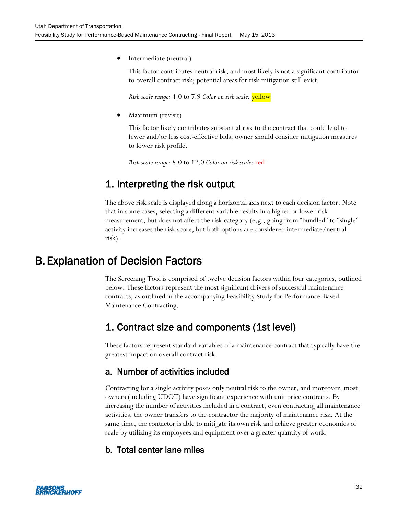Intermediate (neutral)

This factor contributes neutral risk, and most likely is not a significant contributor to overall contract risk; potential areas for risk mitigation still exist.

*Risk scale range:* 4.0 to 7.9 *Color on risk scale:* yellow

Maximum (revisit)

This factor likely contributes substantial risk to the contract that could lead to fewer and/or less cost-effective bids; owner should consider mitigation measures to lower risk profile.

*Risk scale range:* 8.0 to 12.0 *Color on risk scale:* red

### 1. Interpreting the risk output

The above risk scale is displayed along a horizontal axis next to each decision factor. Note that in some cases, selecting a different variable results in a higher or lower risk measurement, but does not affect the risk category (e.g., going from "bundled" to "single" activity increases the risk score, but both options are considered intermediate/neutral risk).

# <span id="page-41-0"></span>B. Explanation of Decision Factors

The Screening Tool is comprised of twelve decision factors within four categories, outlined below. These factors represent the most significant drivers of successful maintenance contracts, as outlined in the accompanying Feasibility Study for Performance-Based Maintenance Contracting.

### 1. Contract size and components (1st level)

These factors represent standard variables of a maintenance contract that typically have the greatest impact on overall contract risk.

### a. Number of activities included

Contracting for a single activity poses only neutral risk to the owner, and moreover, most owners (including UDOT) have significant experience with unit price contracts. By increasing the number of activities included in a contract, even contracting all maintenance activities, the owner transfers to the contractor the majority of maintenance risk. At the same time, the contactor is able to mitigate its own risk and achieve greater economies of scale by utilizing its employees and equipment over a greater quantity of work.

### b. Total center lane miles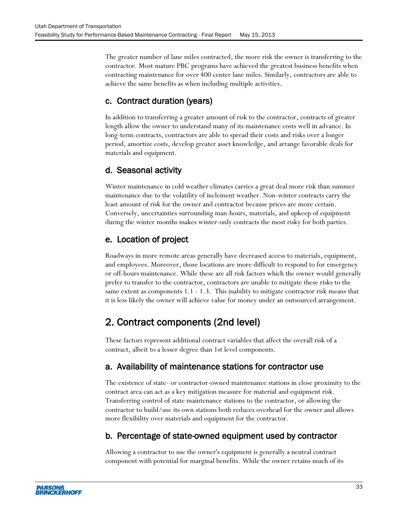The greater number of lane miles contracted, the more risk the owner is transferring to the contractor. Most mature PBC programs have achieved the greatest business benefits when contracting maintenance for over 400 center lane miles. Similarly, contractors are able to achieve the same benefits as when including multiple activities.

### c. Contract duration (years)

In addition to transferring a greater amount of risk to the contractor, contracts of greater length allow the owner to understand many of its maintenance costs well in advance. In long-term contracts, contractors are able to spread their costs and risks over a longer period, amortize costs, develop greater asset knowledge, and arrange favorable deals for materials and equipment.

### d. Seasonal activity

Winter maintenance in cold weather climates carries a great deal more risk than summer maintenance due to the volatility of inclement weather. Non-winter contracts carry the least amount of risk for the owner and contractor because prices are more certain. Conversely, uncertainties surrounding man-hours, materials, and upkeep of equipment during the winter months makes winter-only contracts the most risky for both parties.

### e. Location of project

Roadways in more remote areas generally have decreased access to materials, equipment, and employees. Moreover, those locations are more difficult to respond to for emergency or off-hours maintenance. While these are all risk factors which the owner would generally prefer to transfer to the contractor, contractors are unable to mitigate these risks to the same extent as components 1.1 - 1.3. This inability to mitigate contractor risk means that it is less likely the owner will achieve value for money under an outsourced arrangement.

## 2. Contract components (2nd level)

These factors represent additional contract variables that affect the overall risk of a contract, albeit to a lesser degree than 1st level components.

### a. Availability of maintenance stations for contractor use

The existence of state- or contractor-owned maintenance stations in close proximity to the contract area can act as a key mitigation measure for material and equipment risk. Transferring control of state maintenance stations to the contractor, or allowing the contractor to build/use its own stations both reduces overhead for the owner and allows more flexibility over materials and equipment for the contractor.

### b. Percentage of state-owned equipment used by contractor

Allowing a contractor to use the owner's equipment is generally a neutral contract component with potential for marginal benefits. While the owner retains much of its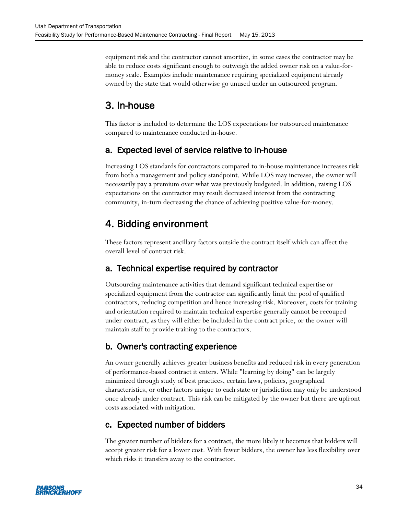equipment risk and the contractor cannot amortize, in some cases the contractor may be able to reduce costs significant enough to outweigh the added owner risk on a value-formoney scale. Examples include maintenance requiring specialized equipment already owned by the state that would otherwise go unused under an outsourced program.

# 3. In-house

This factor is included to determine the LOS expectations for outsourced maintenance compared to maintenance conducted in-house.

### a. Expected level of service relative to in-house

Increasing LOS standards for contractors compared to in-house maintenance increases risk from both a management and policy standpoint. While LOS may increase, the owner will necessarily pay a premium over what was previously budgeted. In addition, raising LOS expectations on the contractor may result decreased interest from the contracting community, in-turn decreasing the chance of achieving positive value-for-money.

## 4. Bidding environment

These factors represent ancillary factors outside the contract itself which can affect the overall level of contract risk.

### a. Technical expertise required by contractor

Outsourcing maintenance activities that demand significant technical expertise or specialized equipment from the contractor can significantly limit the pool of qualified contractors, reducing competition and hence increasing risk. Moreover, costs for training and orientation required to maintain technical expertise generally cannot be recouped under contract, as they will either be included in the contract price, or the owner will maintain staff to provide training to the contractors.

### b. Owner's contracting experience

An owner generally achieves greater business benefits and reduced risk in every generation of performance-based contract it enters. While "learning by doing" can be largely minimized through study of best practices, certain laws, policies, geographical characteristics, or other factors unique to each state or jurisdiction may only be understood once already under contract. This risk can be mitigated by the owner but there are upfront costs associated with mitigation.

### c. Expected number of bidders

The greater number of bidders for a contract, the more likely it becomes that bidders will accept greater risk for a lower cost. With fewer bidders, the owner has less flexibility over which risks it transfers away to the contractor.

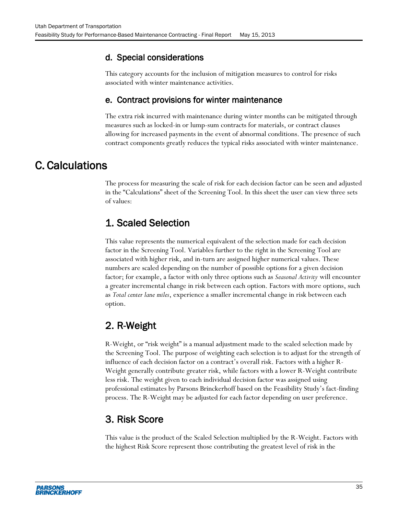### d. Special considerations

This category accounts for the inclusion of mitigation measures to control for risks associated with winter maintenance activities.

### e. Contract provisions for winter maintenance

The extra risk incurred with maintenance during winter months can be mitigated through measures such as locked-in or lump-sum contracts for materials, or contract clauses allowing for increased payments in the event of abnormal conditions. The presence of such contract components greatly reduces the typical risks associated with winter maintenance.

## <span id="page-44-0"></span>C. Calculations

The process for measuring the scale of risk for each decision factor can be seen and adjusted in the "Calculations" sheet of the Screening Tool. In this sheet the user can view three sets of values:

## 1. Scaled Selection

This value represents the numerical equivalent of the selection made for each decision factor in the Screening Tool. Variables further to the right in the Screening Tool are associated with higher risk, and in-turn are assigned higher numerical values. These numbers are scaled depending on the number of possible options for a given decision factor; for example, a factor with only three options such as *Seasonal Activity* will encounter a greater incremental change in risk between each option. Factors with more options, such as *Total center lane miles*, experience a smaller incremental change in risk between each option.

## 2. R-Weight

R-Weight, or "risk weight" is a manual adjustment made to the scaled selection made by the Screening Tool. The purpose of weighting each selection is to adjust for the strength of influence of each decision factor on a contract's overall risk. Factors with a higher R-Weight generally contribute greater risk, while factors with a lower R-Weight contribute less risk. The weight given to each individual decision factor was assigned using professional estimates by Parsons Brinckerhoff based on the Feasibility Study's fact-finding process. The R-Weight may be adjusted for each factor depending on user preference.

## 3. Risk Score

This value is the product of the Scaled Selection multiplied by the R-Weight. Factors with the highest Risk Score represent those contributing the greatest level of risk in the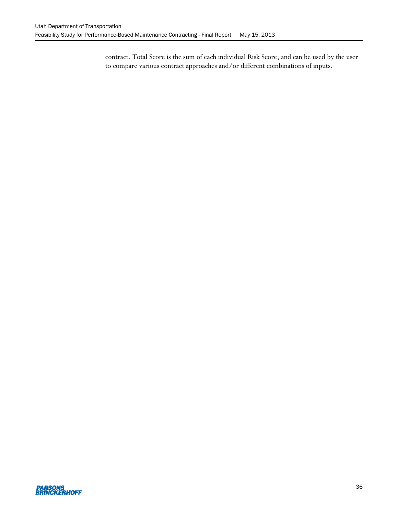contract. Total Score is the sum of each individual Risk Score, and can be used by the user to compare various contract approaches and/or different combinations of inputs.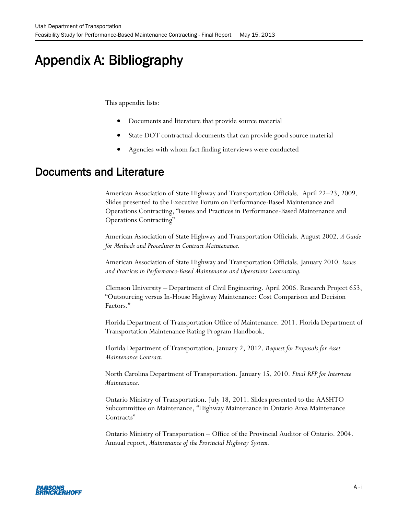# Appendix A: Bibliography

<span id="page-46-0"></span>This appendix lists:

- Documents and literature that provide source material
- State DOT contractual documents that can provide good source material
- Agencies with whom fact finding interviews were conducted

## Documents and Literature

American Association of State Highway and Transportation Officials. April 22–23, 2009. Slides presented to the Executive Forum on Performance-Based Maintenance and Operations Contracting, "Issues and Practices in Performance-Based Maintenance and Operations Contracting"

American Association of State Highway and Transportation Officials. August 2002. *A Guide for Methods and Procedures in Contract Maintenance.*

American Association of State Highway and Transportation Officials. January 2010. *Issues and Practices in Performance-Based Maintenance and Operations Contracting.*

Clemson University – Department of Civil Engineering. April 2006. Research Project 653, "Outsourcing versus In-House Highway Maintenance: Cost Comparison and Decision Factors."

Florida Department of Transportation Office of Maintenance. 2011. Florida Department of Transportation Maintenance Rating Program Handbook.

Florida Department of Transportation. January 2, 2012. *Request for Proposals for Asset Maintenance Contract.*

North Carolina Department of Transportation. January 15, 2010. *Final RFP for Interstate Maintenance.*

Ontario Ministry of Transportation. July 18, 2011. Slides presented to the AASHTO Subcommittee on Maintenance, "Highway Maintenance in Ontario Area Maintenance Contracts"

Ontario Ministry of Transportation – Office of the Provincial Auditor of Ontario. 2004. Annual report, *Maintenance of the Provincial Highway System.*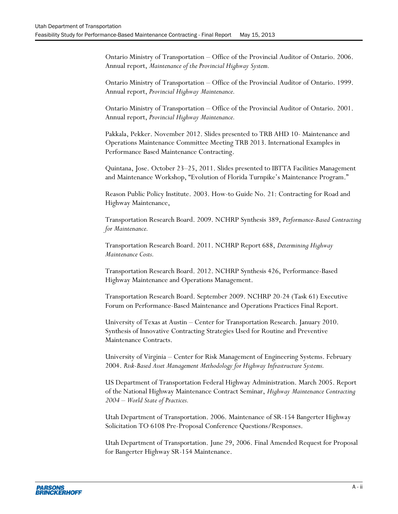Ontario Ministry of Transportation – Office of the Provincial Auditor of Ontario. 2006. Annual report, *Maintenance of the Provincial Highway System.*

Ontario Ministry of Transportation – Office of the Provincial Auditor of Ontario. 1999. Annual report, *Provincial Highway Maintenance.*

Ontario Ministry of Transportation – Office of the Provincial Auditor of Ontario. 2001. Annual report, *Provincial Highway Maintenance.*

Pakkala, Pekker. November 2012. Slides presented to TRB AHD 10- Maintenance and Operations Maintenance Committee Meeting TRB 2013. International Examples in Performance Based Maintenance Contracting.

Quintana, Jose. October 23–25, 2011. Slides presented to IBTTA Facilities Management and Maintenance Workshop, "Evolution of Florida Turnpike's Maintenance Program."

Reason Public Policy Institute. 2003. How-to Guide No. 21: Contracting for Road and Highway Maintenance,

Transportation Research Board. 2009. NCHRP Synthesis 389, *Performance-Based Contracting for Maintenance.*

Transportation Research Board. 2011. NCHRP Report 688, *Determining Highway Maintenance Costs.*

Transportation Research Board. 2012. NCHRP Synthesis 426, Performance-Based Highway Maintenance and Operations Management.

Transportation Research Board. September 2009. NCHRP 20-24 (Task 61) Executive Forum on Performance-Based Maintenance and Operations Practices Final Report.

University of Texas at Austin – Center for Transportation Research. January 2010. Synthesis of Innovative Contracting Strategies Used for Routine and Preventive Maintenance Contracts.

University of Virginia – Center for Risk Management of Engineering Systems. February 2004. *Risk-Based Asset Management Methodology for Highway Infrastructure Systems.*

US Department of Transportation Federal Highway Administration. March 2005. Report of the National Highway Maintenance Contract Seminar, *Highway Maintenance Contracting 2004 – World State of Practices.*

Utah Department of Transportation. 2006. Maintenance of SR-154 Bangerter Highway Solicitation TO 6108 Pre-Proposal Conference Questions/Responses.

Utah Department of Transportation. June 29, 2006. Final Amended Request for Proposal for Bangerter Highway SR-154 Maintenance.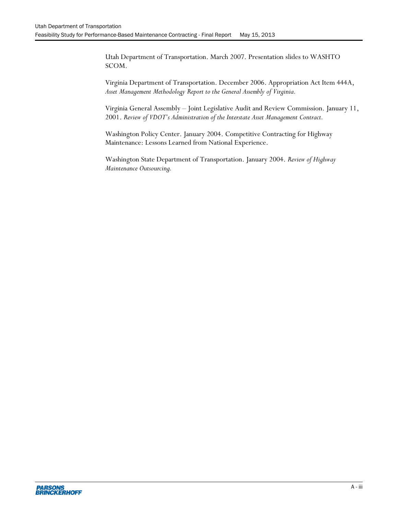Utah Department of Transportation. March 2007. Presentation slides to WASHTO SCOM.

Virginia Department of Transportation. December 2006. Appropriation Act Item 444A, *Asset Management Methodology Report to the General Assembly of Virginia.*

Virginia General Assembly – Joint Legislative Audit and Review Commission. January 11, 2001. *Review of VDOT's Administration of the Interstate Asset Management Contract.*

Washington Policy Center. January 2004. Competitive Contracting for Highway Maintenance: Lessons Learned from National Experience.

Washington State Department of Transportation. January 2004. *Review of Highway Maintenance Outsourcing.*

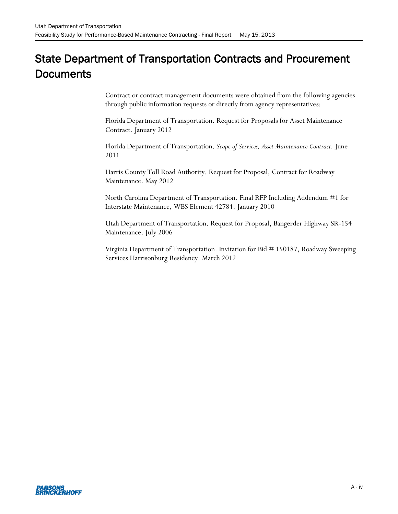# State Department of Transportation Contracts and Procurement **Documents**

Contract or contract management documents were obtained from the following agencies through public information requests or directly from agency representatives:

Florida Department of Transportation. Request for Proposals for Asset Maintenance Contract. January 2012

Florida Department of Transportation. *Scope of Services, Asset Maintenance Contract.* June 2011

Harris County Toll Road Authority. Request for Proposal, Contract for Roadway Maintenance. May 2012

North Carolina Department of Transportation. Final RFP Including Addendum #1 for Interstate Maintenance, WBS Element 42784. January 2010

Utah Department of Transportation. Request for Proposal, Bangerder Highway SR-154 Maintenance. July 2006

Virginia Department of Transportation. Invitation for Bid # 150187, Roadway Sweeping Services Harrisonburg Residency. March 2012